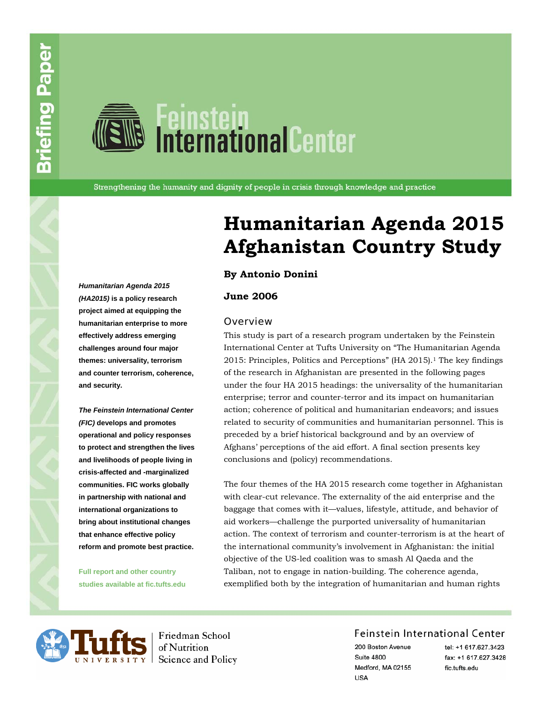

# *<u>is Feinstein</u>*<br>DinternationalCenter

Strengthening the humanity and dignity of people in crisis through knowledge and practice

**Humanitarian Agenda 2015 Afghanistan Country Study** 

**By Antonio Donini** 

**June 2006** 

#### **Overview**

*(HA2015)* **is a policy research project aimed at equipping the humanitarian enterprise to more effectively address emerging challenges around four major themes: universality, terrorism and counter terrorism, coherence, and security.** 

*Humanitarian Agenda 2015*

*The Feinstein International Center (FIC)* **develops and promotes operational and policy responses to protect and strengthen the lives and livelihoods of people living in crisis-affected and -marginalized communities. FIC works globally in partnership with national and international organizations to bring about institutional changes that enhance effective policy reform and promote best practice.** 

**Full report and other country studies available at fic.tufts.edu** 

#### This study is part of a research program undertaken by the Feinstein International Center at Tufts University on "The Humanitarian Agenda 2015: Principles, Politics and Perceptions" (HA 2015).<sup>1</sup> The key findings of the research in Afghanistan are presented in the following pages under the four HA 2015 headings: the universality of the humanitarian enterprise; terror and counter-terror and its impact on humanitarian action; coherence of political and humanitarian endeavors; and issues related to security of communities and humanitarian personnel. This is preceded by a brief historical background and by an overview of Afghans' perceptions of the aid effort. A final section presents key conclusions and (policy) recommendations.

The four themes of the HA 2015 research come together in Afghanistan with clear-cut relevance. The externality of the aid enterprise and the baggage that comes with it—values, lifestyle, attitude, and behavior of aid workers—challenge the purported universality of humanitarian action. The context of terrorism and counter-terrorism is at the heart of the international community's involvement in Afghanistan: the initial objective of the US-led coalition was to smash Al Qaeda and the Taliban, not to engage in nation-building. The coherence agenda, exemplified both by the integration of humanitarian and human rights



Friedman School of Nutrition Science and Policy

#### Feinstein International Center

200 Boston Avenue **Suite 4800** Medford, MA 02155 **USA** 

tel: +1 617 627 3423 fax: +1 617.627.3428 fic.tufts.edu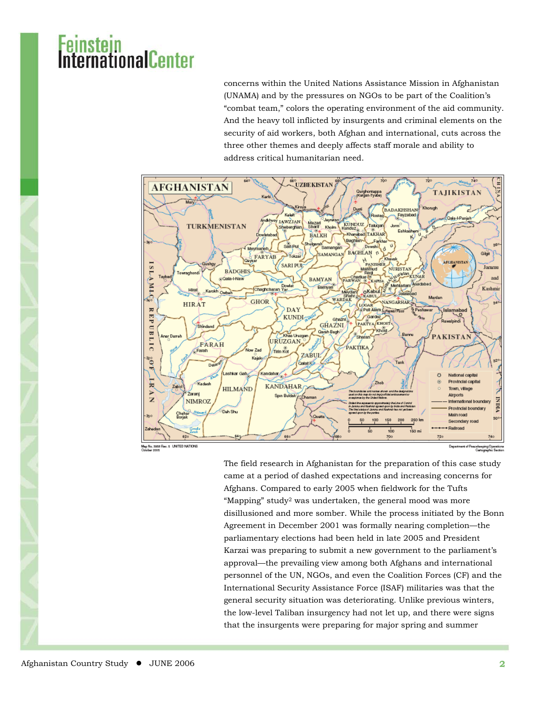### InternationalCenter

concerns within the United Nations Assistance Mission in Afghanistan (UNAMA) and by the pressures on NGOs to be part of the Coalition's "combat team," colors the operating environment of the aid community. And the heavy toll inflicted by insurgents and criminal elements on the security of aid workers, both Afghan and international, cuts across the three other themes and deeply affects staff morale and ability to address critical humanitarian need.



Map No. 2009 Pav. 5 UNITED NATIONS

The field research in Afghanistan for the preparation of this case study came at a period of dashed expectations and increasing concerns for Afghans. Compared to early 2005 when fieldwork for the Tufts "Mapping" study2 was undertaken, the general mood was more disillusioned and more somber. While the process initiated by the Bonn Agreement in December 2001 was formally nearing completion—the parliamentary elections had been held in late 2005 and President Karzai was preparing to submit a new government to the parliament's approval—the prevailing view among both Afghans and international personnel of the UN, NGOs, and even the Coalition Forces (CF) and the International Security Assistance Force (ISAF) militaries was that the general security situation was deteriorating. Unlike previous winters, the low-level Taliban insurgency had not let up, and there were signs that the insurgents were preparing for major spring and summer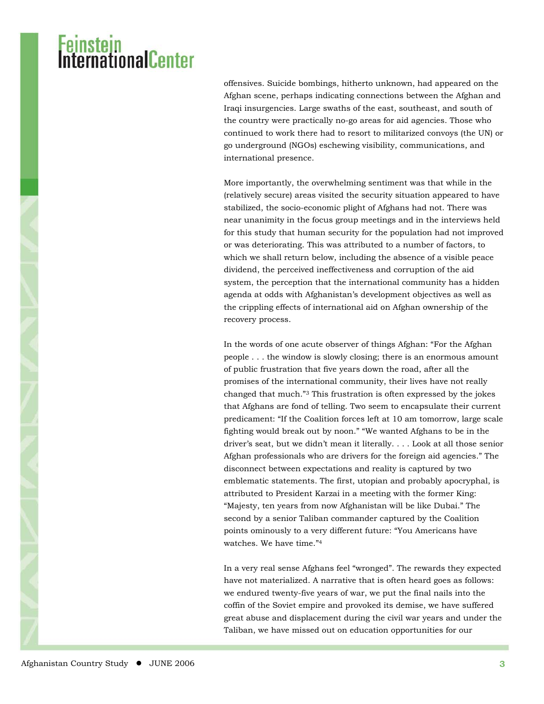offensives. Suicide bombings, hitherto unknown, had appeared on the Afghan scene, perhaps indicating connections between the Afghan and Iraqi insurgencies. Large swaths of the east, southeast, and south of the country were practically no-go areas for aid agencies. Those who continued to work there had to resort to militarized convoys (the UN) or go underground (NGOs) eschewing visibility, communications, and international presence.

More importantly, the overwhelming sentiment was that while in the (relatively secure) areas visited the security situation appeared to have stabilized, the socio-economic plight of Afghans had not. There was near unanimity in the focus group meetings and in the interviews held for this study that human security for the population had not improved or was deteriorating. This was attributed to a number of factors, to which we shall return below, including the absence of a visible peace dividend, the perceived ineffectiveness and corruption of the aid system, the perception that the international community has a hidden agenda at odds with Afghanistan's development objectives as well as the crippling effects of international aid on Afghan ownership of the recovery process.

In the words of one acute observer of things Afghan: "For the Afghan people . . . the window is slowly closing; there is an enormous amount of public frustration that five years down the road, after all the promises of the international community, their lives have not really changed that much."3 This frustration is often expressed by the jokes that Afghans are fond of telling. Two seem to encapsulate their current predicament: "If the Coalition forces left at 10 am tomorrow, large scale fighting would break out by noon." "We wanted Afghans to be in the driver's seat, but we didn't mean it literally. . . . Look at all those senior Afghan professionals who are drivers for the foreign aid agencies." The disconnect between expectations and reality is captured by two emblematic statements. The first, utopian and probably apocryphal, is attributed to President Karzai in a meeting with the former King: "Majesty, ten years from now Afghanistan will be like Dubai." The second by a senior Taliban commander captured by the Coalition points ominously to a very different future: "You Americans have watches. We have time."4

In a very real sense Afghans feel "wronged". The rewards they expected have not materialized. A narrative that is often heard goes as follows: we endured twenty-five years of war, we put the final nails into the coffin of the Soviet empire and provoked its demise, we have suffered great abuse and displacement during the civil war years and under the Taliban, we have missed out on education opportunities for our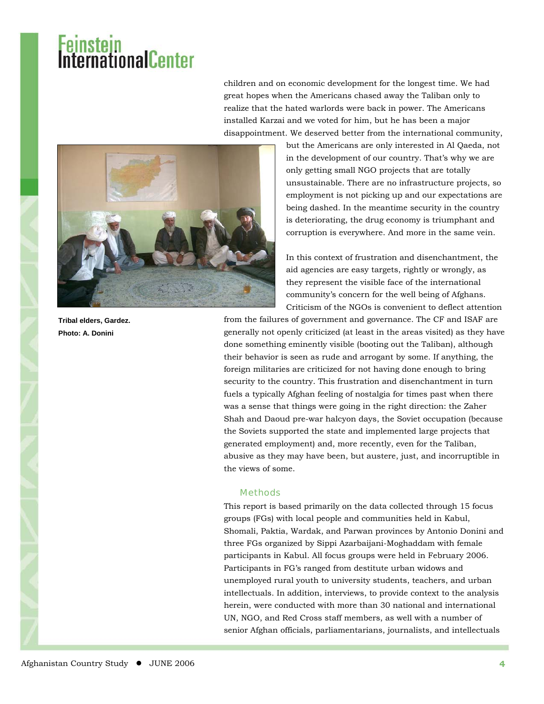children and on economic development for the longest time. We had great hopes when the Americans chased away the Taliban only to realize that the hated warlords were back in power. The Americans installed Karzai and we voted for him, but he has been a major disappointment. We deserved better from the international community,



**Tribal elders, Gardez. Photo: A. Donini** 

but the Americans are only interested in Al Qaeda, not in the development of our country. That's why we are only getting small NGO projects that are totally unsustainable. There are no infrastructure projects, so employment is not picking up and our expectations are being dashed. In the meantime security in the country is deteriorating, the drug economy is triumphant and corruption is everywhere. And more in the same vein.

In this context of frustration and disenchantment, the aid agencies are easy targets, rightly or wrongly, as they represent the visible face of the international community's concern for the well being of Afghans. Criticism of the NGOs is convenient to deflect attention

from the failures of government and governance. The CF and ISAF are generally not openly criticized (at least in the areas visited) as they have done something eminently visible (booting out the Taliban), although their behavior is seen as rude and arrogant by some. If anything, the foreign militaries are criticized for not having done enough to bring security to the country. This frustration and disenchantment in turn fuels a typically Afghan feeling of nostalgia for times past when there was a sense that things were going in the right direction: the Zaher Shah and Daoud pre-war halcyon days, the Soviet occupation (because the Soviets supported the state and implemented large projects that generated employment) and, more recently, even for the Taliban, abusive as they may have been, but austere, just, and incorruptible in the views of some.

#### **Methods**

This report is based primarily on the data collected through 15 focus groups (FGs) with local people and communities held in Kabul, Shomali, Paktia, Wardak, and Parwan provinces by Antonio Donini and three FGs organized by Sippi Azarbaijani-Moghaddam with female participants in Kabul. All focus groups were held in February 2006. Participants in FG's ranged from destitute urban widows and unemployed rural youth to university students, teachers, and urban intellectuals. In addition, interviews, to provide context to the analysis herein, were conducted with more than 30 national and international UN, NGO, and Red Cross staff members, as well with a number of senior Afghan officials, parliamentarians, journalists, and intellectuals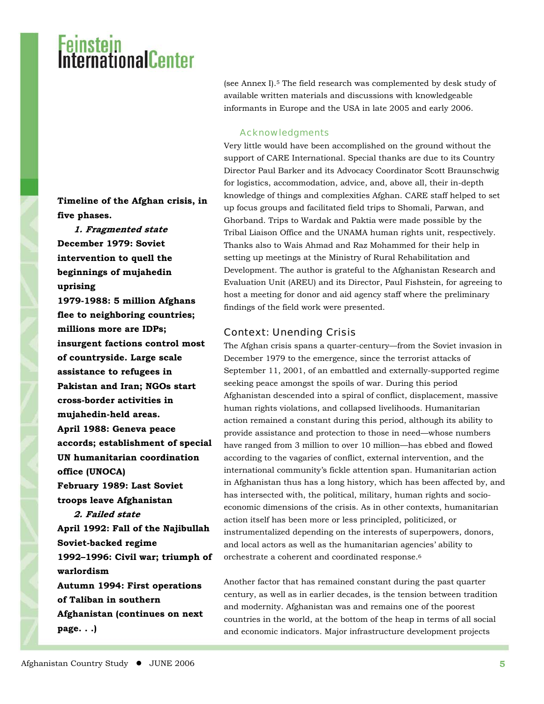(see Annex I).5 The field research was complemented by desk study of available written materials and discussions with knowledgeable informants in Europe and the USA in late 2005 and early 2006.

#### Acknowledgments

Very little would have been accomplished on the ground without the support of CARE International. Special thanks are due to its Country Director Paul Barker and its Advocacy Coordinator Scott Braunschwig for logistics, accommodation, advice, and, above all, their in-depth knowledge of things and complexities Afghan. CARE staff helped to set up focus groups and facilitated field trips to Shomali, Parwan, and Ghorband. Trips to Wardak and Paktia were made possible by the Tribal Liaison Office and the UNAMA human rights unit, respectively. Thanks also to Wais Ahmad and Raz Mohammed for their help in setting up meetings at the Ministry of Rural Rehabilitation and Development. The author is grateful to the Afghanistan Research and Evaluation Unit (AREU) and its Director, Paul Fishstein, for agreeing to host a meeting for donor and aid agency staff where the preliminary findings of the field work were presented.

#### Context: Unending Crisis

The Afghan crisis spans a quarter-century—from the Soviet invasion in December 1979 to the emergence, since the terrorist attacks of September 11, 2001, of an embattled and externally-supported regime seeking peace amongst the spoils of war. During this period Afghanistan descended into a spiral of conflict, displacement, massive human rights violations, and collapsed livelihoods. Humanitarian action remained a constant during this period, although its ability to provide assistance and protection to those in need—whose numbers have ranged from 3 million to over 10 million—has ebbed and flowed according to the vagaries of conflict, external intervention, and the international community's fickle attention span. Humanitarian action in Afghanistan thus has a long history, which has been affected by, and has intersected with, the political, military, human rights and socioeconomic dimensions of the crisis. As in other contexts, humanitarian action itself has been more or less principled, politicized, or instrumentalized depending on the interests of superpowers, donors, and local actors as well as the humanitarian agencies' ability to orchestrate a coherent and coordinated response.6

Another factor that has remained constant during the past quarter century, as well as in earlier decades, is the tension between tradition and modernity. Afghanistan was and remains one of the poorest countries in the world, at the bottom of the heap in terms of all social and economic indicators. Major infrastructure development projects

**Timeline of the Afghan crisis, in five phases.** 

**1. Fragmented state December 1979: Soviet intervention to quell the beginnings of mujahedin uprising 1979-1988: 5 million Afghans** 

**flee to neighboring countries; millions more are IDPs; insurgent factions control most of countryside. Large scale assistance to refugees in Pakistan and Iran; NGOs start cross-border activities in mujahedin-held areas. April 1988: Geneva peace accords; establishment of special UN humanitarian coordination office (UNOCA) February 1989: Last Soviet troops leave Afghanistan 2. Failed state April 1992: Fall of the Najibullah Soviet-backed regime 1992–1996: Civil war; triumph of warlordism Autumn 1994: First operations of Taliban in southern Afghanistan (continues on next page. . .)**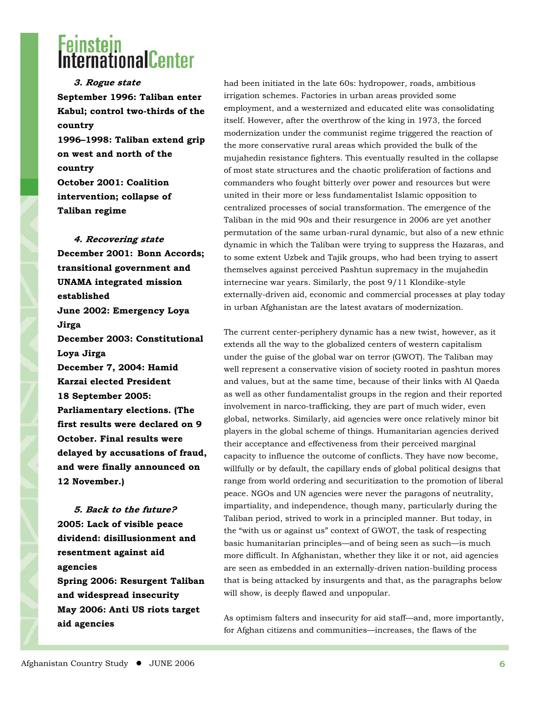**3. Rogue state September 1996: Taliban enter Kabul; control two-thirds of the country 1996–1998: Taliban extend grip on west and north of the country October 2001: Coalition intervention; collapse of Taliban regime** 

**4. Recovering state December 2001: Bonn Accords; transitional government and UNAMA integrated mission established June 2002: Emergency Loya Jirga December 2003: Constitutional Loya Jirga December 7, 2004: Hamid Karzai elected President 18 September 2005: Parliamentary elections. (The first results were declared on 9 October. Final results were delayed by accusations of fraud, and were finally announced on 12 November.)** 

**5. Back to the future? 2005: Lack of visible peace dividend: disillusionment and resentment against aid agencies Spring 2006: Resurgent Taliban and widespread insecurity May 2006: Anti US riots target aid agencies** 

had been initiated in the late 60s: hydropower, roads, ambitious irrigation schemes. Factories in urban areas provided some employment, and a westernized and educated elite was consolidating itself. However, after the overthrow of the king in 1973, the forced modernization under the communist regime triggered the reaction of the more conservative rural areas which provided the bulk of the mujahedin resistance fighters. This eventually resulted in the collapse of most state structures and the chaotic proliferation of factions and commanders who fought bitterly over power and resources but were united in their more or less fundamentalist Islamic opposition to centralized processes of social transformation. The emergence of the Taliban in the mid 90s and their resurgence in 2006 are yet another permutation of the same urban-rural dynamic, but also of a new ethnic dynamic in which the Taliban were trying to suppress the Hazaras, and to some extent Uzbek and Tajik groups, who had been trying to assert themselves against perceived Pashtun supremacy in the mujahedin internecine war years. Similarly, the post 9/11 Klondike-style externally-driven aid, economic and commercial processes at play today in urban Afghanistan are the latest avatars of modernization.

The current center-periphery dynamic has a new twist, however, as it extends all the way to the globalized centers of western capitalism under the guise of the global war on terror (GWOT). The Taliban may well represent a conservative vision of society rooted in pashtun mores and values, but at the same time, because of their links with Al Qaeda as well as other fundamentalist groups in the region and their reported involvement in narco-trafficking, they are part of much wider, even global, networks. Similarly, aid agencies were once relatively minor bit players in the global scheme of things. Humanitarian agencies derived their acceptance and effectiveness from their perceived marginal capacity to influence the outcome of conflicts. They have now become, willfully or by default, the capillary ends of global political designs that range from world ordering and securitization to the promotion of liberal peace. NGOs and UN agencies were never the paragons of neutrality, impartiality, and independence, though many, particularly during the Taliban period, strived to work in a principled manner. But today, in the "with us or against us" context of GWOT, the task of respecting basic humanitarian principles—and of being seen as such—is much more difficult. In Afghanistan, whether they like it or not, aid agencies are seen as embedded in an externally-driven nation-building process that is being attacked by insurgents and that, as the paragraphs below will show, is deeply flawed and unpopular.

As optimism falters and insecurity for aid staff—and, more importantly, for Afghan citizens and communities—increases, the flaws of the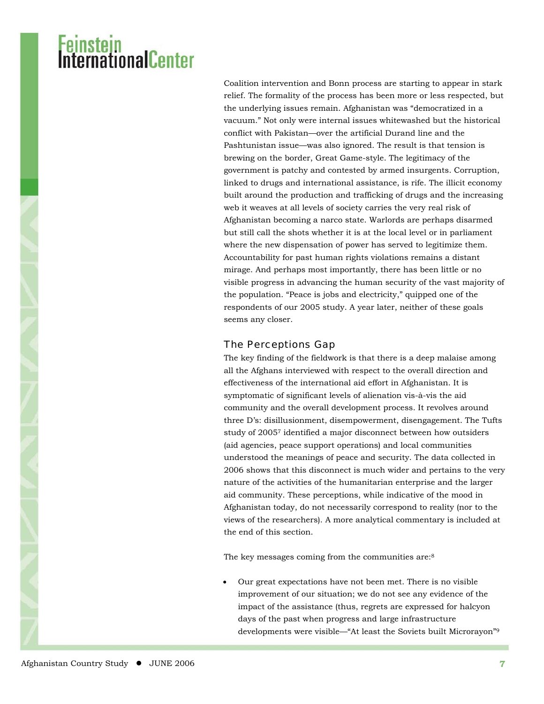### Feinstein<br>International<mark>Ce</mark>nter

Coalition intervention and Bonn process are starting to appear in stark relief. The formality of the process has been more or less respected, but the underlying issues remain. Afghanistan was "democratized in a vacuum." Not only were internal issues whitewashed but the historical conflict with Pakistan—over the artificial Durand line and the Pashtunistan issue—was also ignored. The result is that tension is brewing on the border, Great Game-style. The legitimacy of the government is patchy and contested by armed insurgents. Corruption, linked to drugs and international assistance, is rife. The illicit economy built around the production and trafficking of drugs and the increasing web it weaves at all levels of society carries the very real risk of Afghanistan becoming a narco state. Warlords are perhaps disarmed but still call the shots whether it is at the local level or in parliament where the new dispensation of power has served to legitimize them. Accountability for past human rights violations remains a distant mirage. And perhaps most importantly, there has been little or no visible progress in advancing the human security of the vast majority of the population. "Peace is jobs and electricity," quipped one of the respondents of our 2005 study. A year later, neither of these goals seems any closer.

#### The Perceptions Gap

The key finding of the fieldwork is that there is a deep malaise among all the Afghans interviewed with respect to the overall direction and effectiveness of the international aid effort in Afghanistan. It is symptomatic of significant levels of alienation vis-à-vis the aid community and the overall development process. It revolves around three D's: disillusionment, disempowerment, disengagement. The Tufts study of 20057 identified a major disconnect between how outsiders (aid agencies, peace support operations) and local communities understood the meanings of peace and security. The data collected in 2006 shows that this disconnect is much wider and pertains to the very nature of the activities of the humanitarian enterprise and the larger aid community. These perceptions, while indicative of the mood in Afghanistan today, do not necessarily correspond to reality (nor to the views of the researchers). A more analytical commentary is included at the end of this section.

The key messages coming from the communities are:8

• Our great expectations have not been met. There is no visible improvement of our situation; we do not see any evidence of the impact of the assistance (thus, regrets are expressed for halcyon days of the past when progress and large infrastructure developments were visible—"At least the Soviets built Microrayon"9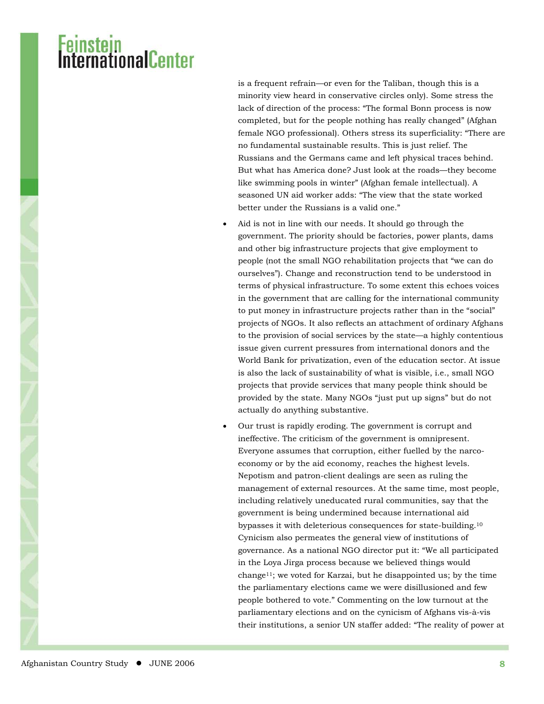is a frequent refrain—or even for the Taliban, though this is a minority view heard in conservative circles only). Some stress the lack of direction of the process: "The formal Bonn process is now completed, but for the people nothing has really changed" (Afghan female NGO professional). Others stress its superficiality: "There are no fundamental sustainable results. This is just relief. The Russians and the Germans came and left physical traces behind. But what has America done? Just look at the roads—they become like swimming pools in winter" (Afghan female intellectual). A seasoned UN aid worker adds: "The view that the state worked better under the Russians is a valid one."

- Aid is not in line with our needs. It should go through the government. The priority should be factories, power plants, dams and other big infrastructure projects that give employment to people (not the small NGO rehabilitation projects that "we can do ourselves"). Change and reconstruction tend to be understood in terms of physical infrastructure. To some extent this echoes voices in the government that are calling for the international community to put money in infrastructure projects rather than in the "social" projects of NGOs. It also reflects an attachment of ordinary Afghans to the provision of social services by the state—a highly contentious issue given current pressures from international donors and the World Bank for privatization, even of the education sector. At issue is also the lack of sustainability of what is visible, i.e., small NGO projects that provide services that many people think should be provided by the state. Many NGOs "just put up signs" but do not actually do anything substantive.
- Our trust is rapidly eroding. The government is corrupt and ineffective. The criticism of the government is omnipresent. Everyone assumes that corruption, either fuelled by the narcoeconomy or by the aid economy, reaches the highest levels. Nepotism and patron-client dealings are seen as ruling the management of external resources. At the same time, most people, including relatively uneducated rural communities, say that the government is being undermined because international aid bypasses it with deleterious consequences for state-building.10 Cynicism also permeates the general view of institutions of governance. As a national NGO director put it: "We all participated in the Loya Jirga process because we believed things would  $\alpha$ change<sup>11</sup>; we voted for Karzai, but he disappointed us; by the time the parliamentary elections came we were disillusioned and few people bothered to vote." Commenting on the low turnout at the parliamentary elections and on the cynicism of Afghans vis-à-vis their institutions, a senior UN staffer added: "The reality of power at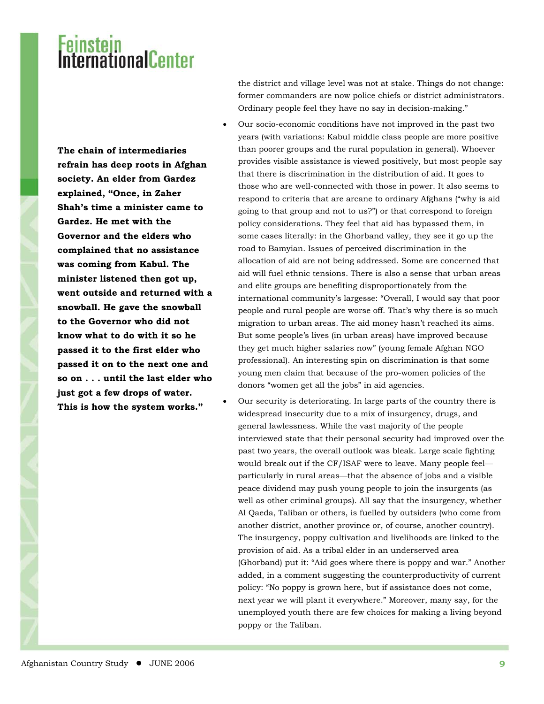**The chain of intermediaries refrain has deep roots in Afghan society. An elder from Gardez explained, "Once, in Zaher Shah's time a minister came to Gardez. He met with the Governor and the elders who complained that no assistance was coming from Kabul. The minister listened then got up, went outside and returned with a snowball. He gave the snowball to the Governor who did not know what to do with it so he passed it to the first elder who passed it on to the next one and so on . . . until the last elder who just got a few drops of water. This is how the system works."** 

the district and village level was not at stake. Things do not change: former commanders are now police chiefs or district administrators. Ordinary people feel they have no say in decision-making."

- Our socio-economic conditions have not improved in the past two years (with variations: Kabul middle class people are more positive than poorer groups and the rural population in general). Whoever provides visible assistance is viewed positively, but most people say that there is discrimination in the distribution of aid. It goes to those who are well-connected with those in power. It also seems to respond to criteria that are arcane to ordinary Afghans ("why is aid going to that group and not to us?") or that correspond to foreign policy considerations. They feel that aid has bypassed them, in some cases literally: in the Ghorband valley, they see it go up the road to Bamyian. Issues of perceived discrimination in the allocation of aid are not being addressed. Some are concerned that aid will fuel ethnic tensions. There is also a sense that urban areas and elite groups are benefiting disproportionately from the international community's largesse: "Overall, I would say that poor people and rural people are worse off. That's why there is so much migration to urban areas. The aid money hasn't reached its aims. But some people's lives (in urban areas) have improved because they get much higher salaries now" (young female Afghan NGO professional). An interesting spin on discrimination is that some young men claim that because of the pro-women policies of the donors "women get all the jobs" in aid agencies.
- Our security is deteriorating. In large parts of the country there is widespread insecurity due to a mix of insurgency, drugs, and general lawlessness. While the vast majority of the people interviewed state that their personal security had improved over the past two years, the overall outlook was bleak. Large scale fighting would break out if the CF/ISAF were to leave. Many people feel particularly in rural areas—that the absence of jobs and a visible peace dividend may push young people to join the insurgents (as well as other criminal groups). All say that the insurgency, whether Al Qaeda, Taliban or others, is fuelled by outsiders (who come from another district, another province or, of course, another country). The insurgency, poppy cultivation and livelihoods are linked to the provision of aid. As a tribal elder in an underserved area (Ghorband) put it: "Aid goes where there is poppy and war." Another added, in a comment suggesting the counterproductivity of current policy: "No poppy is grown here, but if assistance does not come, next year we will plant it everywhere." Moreover, many say, for the unemployed youth there are few choices for making a living beyond poppy or the Taliban.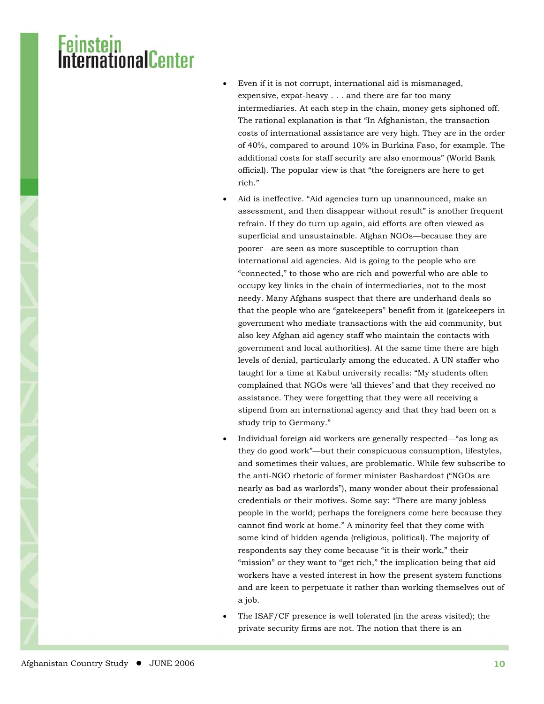### Feinstein<br>International<mark>Ce</mark>nter

- Even if it is not corrupt, international aid is mismanaged, expensive, expat-heavy . . . and there are far too many intermediaries. At each step in the chain, money gets siphoned off. The rational explanation is that "In Afghanistan, the transaction costs of international assistance are very high. They are in the order of 40%, compared to around 10% in Burkina Faso, for example. The additional costs for staff security are also enormous" (World Bank official). The popular view is that "the foreigners are here to get rich."
- Aid is ineffective. "Aid agencies turn up unannounced, make an assessment, and then disappear without result" is another frequent refrain. If they do turn up again, aid efforts are often viewed as superficial and unsustainable. Afghan NGOs—because they are poorer—are seen as more susceptible to corruption than international aid agencies. Aid is going to the people who are "connected," to those who are rich and powerful who are able to occupy key links in the chain of intermediaries, not to the most needy. Many Afghans suspect that there are underhand deals so that the people who are "gatekeepers" benefit from it (gatekeepers in government who mediate transactions with the aid community, but also key Afghan aid agency staff who maintain the contacts with government and local authorities). At the same time there are high levels of denial, particularly among the educated. A UN staffer who taught for a time at Kabul university recalls: "My students often complained that NGOs were 'all thieves' and that they received no assistance. They were forgetting that they were all receiving a stipend from an international agency and that they had been on a study trip to Germany."
- Individual foreign aid workers are generally respected—"as long as they do good work"—but their conspicuous consumption, lifestyles, and sometimes their values, are problematic. While few subscribe to the anti-NGO rhetoric of former minister Bashardost ("NGOs are nearly as bad as warlords"), many wonder about their professional credentials or their motives. Some say: "There are many jobless people in the world; perhaps the foreigners come here because they cannot find work at home." A minority feel that they come with some kind of hidden agenda (religious, political). The majority of respondents say they come because "it is their work," their "mission" or they want to "get rich," the implication being that aid workers have a vested interest in how the present system functions and are keen to perpetuate it rather than working themselves out of a job.
- The ISAF/CF presence is well tolerated (in the areas visited); the private security firms are not. The notion that there is an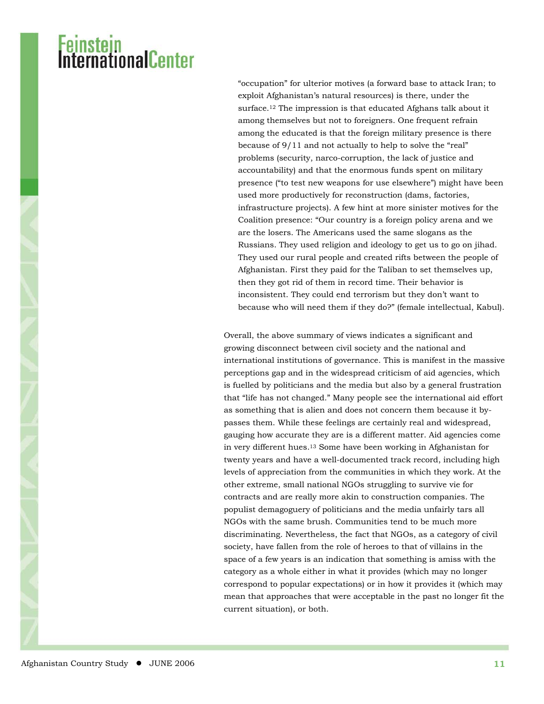"occupation" for ulterior motives (a forward base to attack Iran; to exploit Afghanistan's natural resources) is there, under the surface.12 The impression is that educated Afghans talk about it among themselves but not to foreigners. One frequent refrain among the educated is that the foreign military presence is there because of 9/11 and not actually to help to solve the "real" problems (security, narco-corruption, the lack of justice and accountability) and that the enormous funds spent on military presence ("to test new weapons for use elsewhere") might have been used more productively for reconstruction (dams, factories, infrastructure projects). A few hint at more sinister motives for the Coalition presence: "Our country is a foreign policy arena and we are the losers. The Americans used the same slogans as the Russians. They used religion and ideology to get us to go on jihad. They used our rural people and created rifts between the people of Afghanistan. First they paid for the Taliban to set themselves up, then they got rid of them in record time. Their behavior is inconsistent. They could end terrorism but they don't want to because who will need them if they do?" (female intellectual, Kabul).

Overall, the above summary of views indicates a significant and growing disconnect between civil society and the national and international institutions of governance. This is manifest in the massive perceptions gap and in the widespread criticism of aid agencies, which is fuelled by politicians and the media but also by a general frustration that "life has not changed." Many people see the international aid effort as something that is alien and does not concern them because it bypasses them. While these feelings are certainly real and widespread, gauging how accurate they are is a different matter. Aid agencies come in very different hues.13 Some have been working in Afghanistan for twenty years and have a well-documented track record, including high levels of appreciation from the communities in which they work. At the other extreme, small national NGOs struggling to survive vie for contracts and are really more akin to construction companies. The populist demagoguery of politicians and the media unfairly tars all NGOs with the same brush. Communities tend to be much more discriminating. Nevertheless, the fact that NGOs, as a category of civil society, have fallen from the role of heroes to that of villains in the space of a few years is an indication that something is amiss with the category as a whole either in what it provides (which may no longer correspond to popular expectations) or in how it provides it (which may mean that approaches that were acceptable in the past no longer fit the current situation), or both.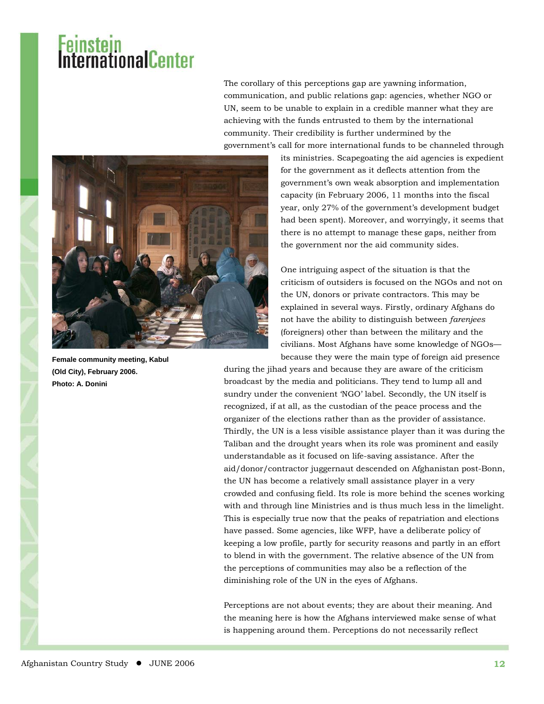## <mark>Feinstein</mark><br>International<mark>Ce</mark>nter

The corollary of this perceptions gap are yawning information, communication, and public relations gap: agencies, whether NGO or UN, seem to be unable to explain in a credible manner what they are achieving with the funds entrusted to them by the international community. Their credibility is further undermined by the government's call for more international funds to be channeled through



**Female community meeting, Kabul (Old City), February 2006. Photo: A. Donini** 

its ministries. Scapegoating the aid agencies is expedient for the government as it deflects attention from the government's own weak absorption and implementation capacity (in February 2006, 11 months into the fiscal year, only 27% of the government's development budget had been spent). Moreover, and worryingly, it seems that there is no attempt to manage these gaps, neither from the government nor the aid community sides.

One intriguing aspect of the situation is that the criticism of outsiders is focused on the NGOs and not on the UN, donors or private contractors. This may be explained in several ways. Firstly, ordinary Afghans do not have the ability to distinguish between *farenjees* (foreigners) other than between the military and the civilians. Most Afghans have some knowledge of NGOs because they were the main type of foreign aid presence

during the jihad years and because they are aware of the criticism broadcast by the media and politicians. They tend to lump all and sundry under the convenient 'NGO' label. Secondly, the UN itself is recognized, if at all, as the custodian of the peace process and the organizer of the elections rather than as the provider of assistance. Thirdly, the UN is a less visible assistance player than it was during the Taliban and the drought years when its role was prominent and easily understandable as it focused on life-saving assistance. After the aid/donor/contractor juggernaut descended on Afghanistan post-Bonn, the UN has become a relatively small assistance player in a very crowded and confusing field. Its role is more behind the scenes working with and through line Ministries and is thus much less in the limelight. This is especially true now that the peaks of repatriation and elections have passed. Some agencies, like WFP, have a deliberate policy of keeping a low profile, partly for security reasons and partly in an effort to blend in with the government. The relative absence of the UN from the perceptions of communities may also be a reflection of the diminishing role of the UN in the eyes of Afghans.

Perceptions are not about events; they are about their meaning. And the meaning here is how the Afghans interviewed make sense of what is happening around them. Perceptions do not necessarily reflect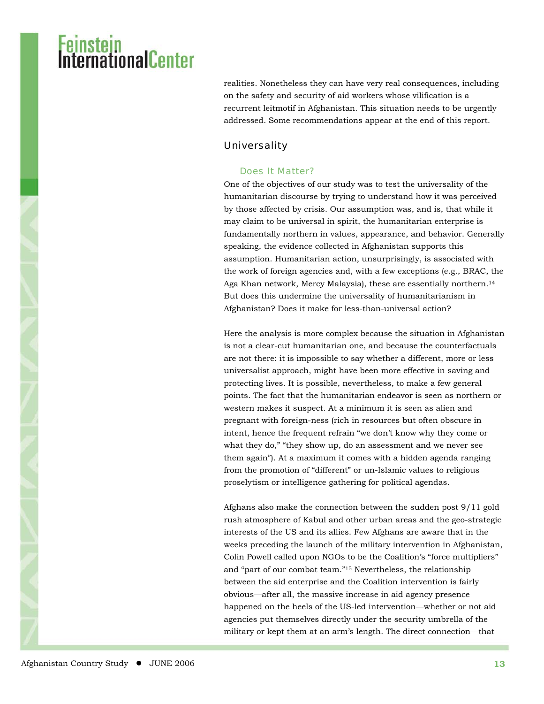#### Feinstein<br>International<mark>Ce</mark>nter

realities. Nonetheless they can have very real consequences, including on the safety and security of aid workers whose vilification is a recurrent leitmotif in Afghanistan. This situation needs to be urgently addressed. Some recommendations appear at the end of this report.

#### **Universality**

#### Does It Matter?

One of the objectives of our study was to test the universality of the humanitarian discourse by trying to understand how it was perceived by those affected by crisis. Our assumption was, and is, that while it may claim to be universal in spirit, the humanitarian enterprise is fundamentally northern in values, appearance, and behavior. Generally speaking, the evidence collected in Afghanistan supports this assumption. Humanitarian action, unsurprisingly, is associated with the work of foreign agencies and, with a few exceptions (e.g., BRAC, the Aga Khan network, Mercy Malaysia), these are essentially northern.14 But does this undermine the universality of humanitarianism in Afghanistan? Does it make for less-than-universal action?

Here the analysis is more complex because the situation in Afghanistan is not a clear-cut humanitarian one, and because the counterfactuals are not there: it is impossible to say whether a different, more or less universalist approach, might have been more effective in saving and protecting lives. It is possible, nevertheless, to make a few general points. The fact that the humanitarian endeavor is seen as northern or western makes it suspect. At a minimum it is seen as alien and pregnant with foreign-ness (rich in resources but often obscure in intent, hence the frequent refrain "we don't know why they come or what they do," "they show up, do an assessment and we never see them again"). At a maximum it comes with a hidden agenda ranging from the promotion of "different" or un-Islamic values to religious proselytism or intelligence gathering for political agendas.

Afghans also make the connection between the sudden post 9/11 gold rush atmosphere of Kabul and other urban areas and the geo-strategic interests of the US and its allies. Few Afghans are aware that in the weeks preceding the launch of the military intervention in Afghanistan, Colin Powell called upon NGOs to be the Coalition's "force multipliers" and "part of our combat team."15 Nevertheless, the relationship between the aid enterprise and the Coalition intervention is fairly obvious—after all, the massive increase in aid agency presence happened on the heels of the US-led intervention—whether or not aid agencies put themselves directly under the security umbrella of the military or kept them at an arm's length. The direct connection—that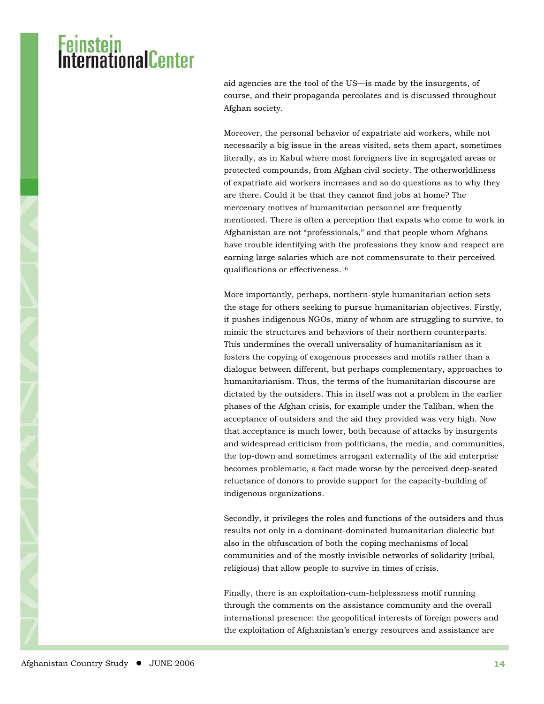aid agencies are the tool of the US—is made by the insurgents, of course, and their propaganda percolates and is discussed throughout Afghan society.

Moreover, the personal behavior of expatriate aid workers, while not necessarily a big issue in the areas visited, sets them apart, sometimes literally, as in Kabul where most foreigners live in segregated areas or protected compounds, from Afghan civil society. The otherworldliness of expatriate aid workers increases and so do questions as to why they are there. Could it be that they cannot find jobs at home? The mercenary motives of humanitarian personnel are frequently mentioned. There is often a perception that expats who come to work in Afghanistan are not "professionals," and that people whom Afghans have trouble identifying with the professions they know and respect are earning large salaries which are not commensurate to their perceived qualifications or effectiveness.16

More importantly, perhaps, northern-style humanitarian action sets the stage for others seeking to pursue humanitarian objectives. Firstly, it pushes indigenous NGOs, many of whom are struggling to survive, to mimic the structures and behaviors of their northern counterparts. This undermines the overall universality of humanitarianism as it fosters the copying of exogenous processes and motifs rather than a dialogue between different, but perhaps complementary, approaches to humanitarianism. Thus, the terms of the humanitarian discourse are dictated by the outsiders. This in itself was not a problem in the earlier phases of the Afghan crisis, for example under the Taliban, when the acceptance of outsiders and the aid they provided was very high. Now that acceptance is much lower, both because of attacks by insurgents and widespread criticism from politicians, the media, and communities, the top-down and sometimes arrogant externality of the aid enterprise becomes problematic, a fact made worse by the perceived deep-seated reluctance of donors to provide support for the capacity-building of indigenous organizations.

Secondly, it privileges the roles and functions of the outsiders and thus results not only in a dominant-dominated humanitarian dialectic but also in the obfuscation of both the coping mechanisms of local communities and of the mostly invisible networks of solidarity (tribal, religious) that allow people to survive in times of crisis.

Finally, there is an exploitation-cum-helplessness motif running through the comments on the assistance community and the overall international presence: the geopolitical interests of foreign powers and the exploitation of Afghanistan's energy resources and assistance are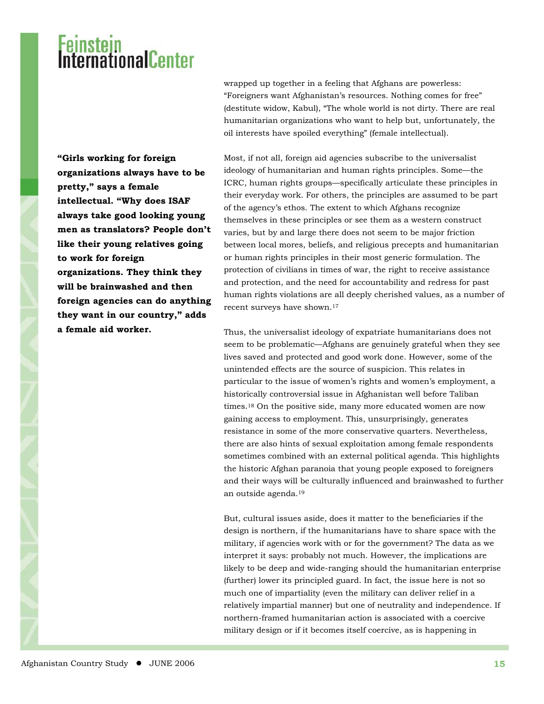#### <mark>Feinstein</mark><br>InternationalCenter

**"Girls working for foreign organizations always have to be pretty," says a female intellectual. "Why does ISAF always take good looking young men as translators? People don't like their young relatives going to work for foreign organizations. They think they will be brainwashed and then foreign agencies can do anything they want in our country," adds a female aid worker.** 

wrapped up together in a feeling that Afghans are powerless: "Foreigners want Afghanistan's resources. Nothing comes for free" (destitute widow, Kabul), "The whole world is not dirty. There are real humanitarian organizations who want to help but, unfortunately, the oil interests have spoiled everything" (female intellectual).

Most, if not all, foreign aid agencies subscribe to the universalist ideology of humanitarian and human rights principles. Some—the ICRC, human rights groups—specifically articulate these principles in their everyday work. For others, the principles are assumed to be part of the agency's ethos. The extent to which Afghans recognize themselves in these principles or see them as a western construct varies, but by and large there does not seem to be major friction between local mores, beliefs, and religious precepts and humanitarian or human rights principles in their most generic formulation. The protection of civilians in times of war, the right to receive assistance and protection, and the need for accountability and redress for past human rights violations are all deeply cherished values, as a number of recent surveys have shown.17

Thus, the universalist ideology of expatriate humanitarians does not seem to be problematic—Afghans are genuinely grateful when they see lives saved and protected and good work done. However, some of the unintended effects are the source of suspicion. This relates in particular to the issue of women's rights and women's employment, a historically controversial issue in Afghanistan well before Taliban times.18 On the positive side, many more educated women are now gaining access to employment. This, unsurprisingly, generates resistance in some of the more conservative quarters. Nevertheless, there are also hints of sexual exploitation among female respondents sometimes combined with an external political agenda. This highlights the historic Afghan paranoia that young people exposed to foreigners and their ways will be culturally influenced and brainwashed to further an outside agenda.19

But, cultural issues aside, does it matter to the beneficiaries if the design is northern, if the humanitarians have to share space with the military, if agencies work with or for the government? The data as we interpret it says: probably not much. However, the implications are likely to be deep and wide-ranging should the humanitarian enterprise (further) lower its principled guard. In fact, the issue here is not so much one of impartiality (even the military can deliver relief in a relatively impartial manner) but one of neutrality and independence. If northern-framed humanitarian action is associated with a coercive military design or if it becomes itself coercive, as is happening in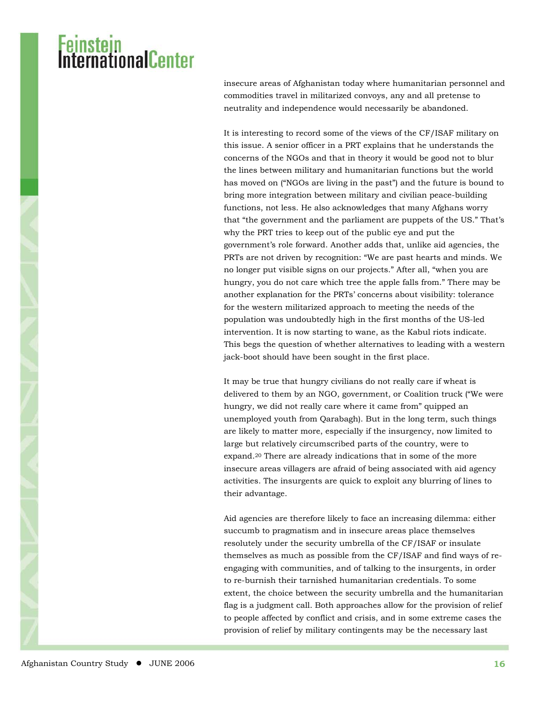insecure areas of Afghanistan today where humanitarian personnel and commodities travel in militarized convoys, any and all pretense to neutrality and independence would necessarily be abandoned.

It is interesting to record some of the views of the CF/ISAF military on this issue. A senior officer in a PRT explains that he understands the concerns of the NGOs and that in theory it would be good not to blur the lines between military and humanitarian functions but the world has moved on ("NGOs are living in the past") and the future is bound to bring more integration between military and civilian peace-building functions, not less. He also acknowledges that many Afghans worry that "the government and the parliament are puppets of the US." That's why the PRT tries to keep out of the public eye and put the government's role forward. Another adds that, unlike aid agencies, the PRTs are not driven by recognition: "We are past hearts and minds. We no longer put visible signs on our projects." After all, "when you are hungry, you do not care which tree the apple falls from." There may be another explanation for the PRTs' concerns about visibility: tolerance for the western militarized approach to meeting the needs of the population was undoubtedly high in the first months of the US-led intervention. It is now starting to wane, as the Kabul riots indicate. This begs the question of whether alternatives to leading with a western jack-boot should have been sought in the first place.

It may be true that hungry civilians do not really care if wheat is delivered to them by an NGO, government, or Coalition truck ("We were hungry, we did not really care where it came from" quipped an unemployed youth from Qarabagh). But in the long term, such things are likely to matter more, especially if the insurgency, now limited to large but relatively circumscribed parts of the country, were to expand.20 There are already indications that in some of the more insecure areas villagers are afraid of being associated with aid agency activities. The insurgents are quick to exploit any blurring of lines to their advantage.

Aid agencies are therefore likely to face an increasing dilemma: either succumb to pragmatism and in insecure areas place themselves resolutely under the security umbrella of the CF/ISAF or insulate themselves as much as possible from the CF/ISAF and find ways of reengaging with communities, and of talking to the insurgents, in order to re-burnish their tarnished humanitarian credentials. To some extent, the choice between the security umbrella and the humanitarian flag is a judgment call. Both approaches allow for the provision of relief to people affected by conflict and crisis, and in some extreme cases the provision of relief by military contingents may be the necessary last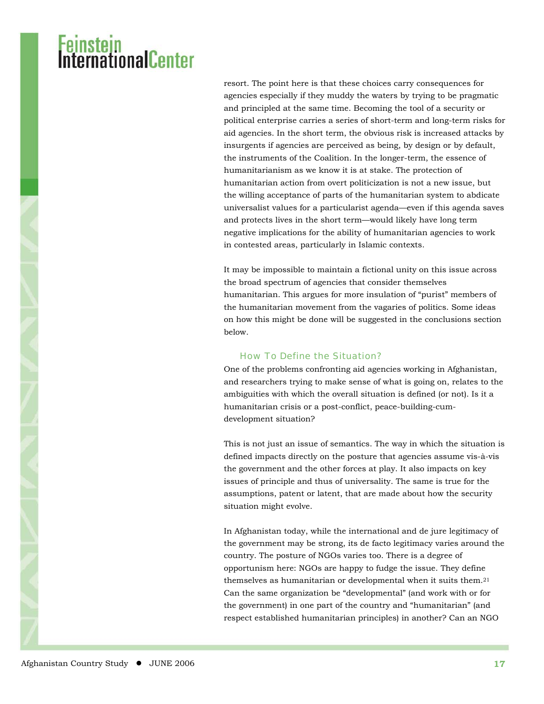resort. The point here is that these choices carry consequences for agencies especially if they muddy the waters by trying to be pragmatic and principled at the same time. Becoming the tool of a security or political enterprise carries a series of short-term and long-term risks for aid agencies. In the short term, the obvious risk is increased attacks by insurgents if agencies are perceived as being, by design or by default, the instruments of the Coalition. In the longer-term, the essence of humanitarianism as we know it is at stake. The protection of humanitarian action from overt politicization is not a new issue, but the willing acceptance of parts of the humanitarian system to abdicate universalist values for a particularist agenda—even if this agenda saves and protects lives in the short term—would likely have long term negative implications for the ability of humanitarian agencies to work in contested areas, particularly in Islamic contexts.

It may be impossible to maintain a fictional unity on this issue across the broad spectrum of agencies that consider themselves humanitarian. This argues for more insulation of "purist" members of the humanitarian movement from the vagaries of politics. Some ideas on how this might be done will be suggested in the conclusions section below.

#### How To Define the Situation?

One of the problems confronting aid agencies working in Afghanistan, and researchers trying to make sense of what is going on, relates to the ambiguities with which the overall situation is defined (or not). Is it a humanitarian crisis or a post-conflict, peace-building-cumdevelopment situation?

This is not just an issue of semantics. The way in which the situation is defined impacts directly on the posture that agencies assume vis-à-vis the government and the other forces at play. It also impacts on key issues of principle and thus of universality. The same is true for the assumptions, patent or latent, that are made about how the security situation might evolve.

In Afghanistan today, while the international and de jure legitimacy of the government may be strong, its de facto legitimacy varies around the country. The posture of NGOs varies too. There is a degree of opportunism here: NGOs are happy to fudge the issue. They define themselves as humanitarian or developmental when it suits them.21 Can the same organization be "developmental" (and work with or for the government) in one part of the country and "humanitarian" (and respect established humanitarian principles) in another? Can an NGO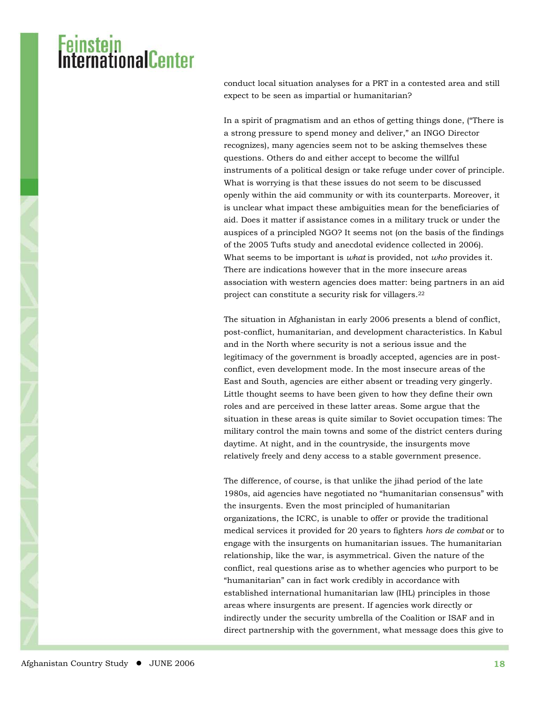conduct local situation analyses for a PRT in a contested area and still expect to be seen as impartial or humanitarian?

In a spirit of pragmatism and an ethos of getting things done, ("There is a strong pressure to spend money and deliver," an INGO Director recognizes), many agencies seem not to be asking themselves these questions. Others do and either accept to become the willful instruments of a political design or take refuge under cover of principle. What is worrying is that these issues do not seem to be discussed openly within the aid community or with its counterparts. Moreover, it is unclear what impact these ambiguities mean for the beneficiaries of aid. Does it matter if assistance comes in a military truck or under the auspices of a principled NGO? It seems not (on the basis of the findings of the 2005 Tufts study and anecdotal evidence collected in 2006). What seems to be important is *what* is provided, not *who* provides it. There are indications however that in the more insecure areas association with western agencies does matter: being partners in an aid project can constitute a security risk for villagers.22

The situation in Afghanistan in early 2006 presents a blend of conflict, post-conflict, humanitarian, and development characteristics. In Kabul and in the North where security is not a serious issue and the legitimacy of the government is broadly accepted, agencies are in postconflict, even development mode. In the most insecure areas of the East and South, agencies are either absent or treading very gingerly. Little thought seems to have been given to how they define their own roles and are perceived in these latter areas. Some argue that the situation in these areas is quite similar to Soviet occupation times: The military control the main towns and some of the district centers during daytime. At night, and in the countryside, the insurgents move relatively freely and deny access to a stable government presence.

The difference, of course, is that unlike the jihad period of the late 1980s, aid agencies have negotiated no "humanitarian consensus" with the insurgents. Even the most principled of humanitarian organizations, the ICRC, is unable to offer or provide the traditional medical services it provided for 20 years to fighters *hors de combat* or to engage with the insurgents on humanitarian issues. The humanitarian relationship, like the war, is asymmetrical. Given the nature of the conflict, real questions arise as to whether agencies who purport to be "humanitarian" can in fact work credibly in accordance with established international humanitarian law (IHL) principles in those areas where insurgents are present. If agencies work directly or indirectly under the security umbrella of the Coalition or ISAF and in direct partnership with the government, what message does this give to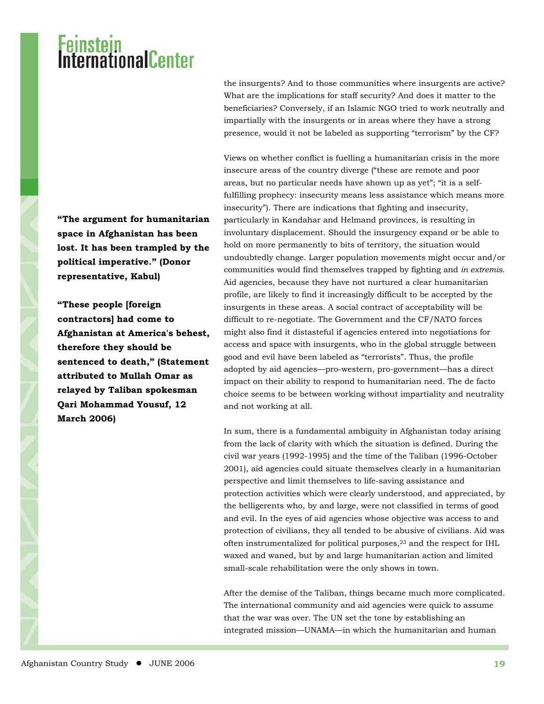the insurgents? And to those communities where insurgents are active? What are the implications for staff security? And does it matter to the beneficiaries? Conversely, if an Islamic NGO tried to work neutrally and impartially with the insurgents or in areas where they have a strong presence, would it not be labeled as supporting "terrorism" by the CF?

Views on whether conflict is fuelling a humanitarian crisis in the more insecure areas of the country diverge ("these are remote and poor areas, but no particular needs have shown up as yet"; "it is a selffulfilling prophecy: insecurity means less assistance which means more insecurity"). There are indications that fighting and insecurity, particularly in Kandahar and Helmand provinces, is resulting in involuntary displacement. Should the insurgency expand or be able to hold on more permanently to bits of territory, the situation would undoubtedly change. Larger population movements might occur and/or communities would find themselves trapped by fighting and *in extremis*. Aid agencies, because they have not nurtured a clear humanitarian profile, are likely to find it increasingly difficult to be accepted by the insurgents in these areas. A social contract of acceptability will be difficult to re-negotiate. The Government and the CF/NATO forces might also find it distasteful if agencies entered into negotiations for access and space with insurgents, who in the global struggle between good and evil have been labeled as "terrorists". Thus, the profile adopted by aid agencies—pro-western, pro-government—has a direct impact on their ability to respond to humanitarian need. The de facto choice seems to be between working without impartiality and neutrality and not working at all.

In sum, there is a fundamental ambiguity in Afghanistan today arising from the lack of clarity with which the situation is defined. During the civil war years (1992-1995) and the time of the Taliban (1996-October 2001), aid agencies could situate themselves clearly in a humanitarian perspective and limit themselves to life-saving assistance and protection activities which were clearly understood, and appreciated, by the belligerents who, by and large, were not classified in terms of good and evil. In the eyes of aid agencies whose objective was access to and protection of civilians, they all tended to be abusive of civilians. Aid was often instrumentalized for political purposes,23 and the respect for IHL waxed and waned, but by and large humanitarian action and limited small-scale rehabilitation were the only shows in town.

After the demise of the Taliban, things became much more complicated. The international community and aid agencies were quick to assume that the war was over. The UN set the tone by establishing an integrated mission—UNAMA—in which the humanitarian and human

**"The argument for humanitarian space in Afghanistan has been lost. It has been trampled by the political imperative." (Donor representative, Kabul)** 

**"These people [foreign contractors] had come to Afghanistan at America's behest, therefore they should be sentenced to death," (Statement attributed to Mullah Omar as relayed by Taliban spokesman Qari Mohammad Yousuf, 12 March 2006)**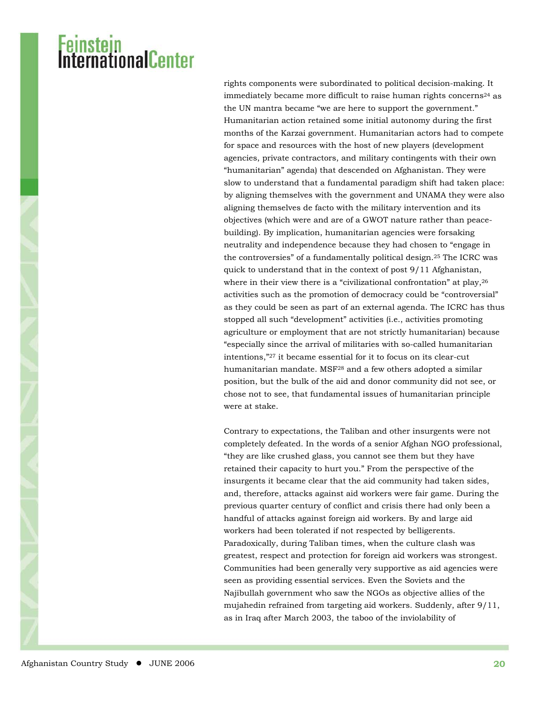rights components were subordinated to political decision-making. It immediately became more difficult to raise human rights concerns<sup>24</sup> as the UN mantra became "we are here to support the government." Humanitarian action retained some initial autonomy during the first months of the Karzai government. Humanitarian actors had to compete for space and resources with the host of new players (development agencies, private contractors, and military contingents with their own "humanitarian" agenda) that descended on Afghanistan. They were slow to understand that a fundamental paradigm shift had taken place: by aligning themselves with the government and UNAMA they were also aligning themselves de facto with the military intervention and its objectives (which were and are of a GWOT nature rather than peacebuilding). By implication, humanitarian agencies were forsaking neutrality and independence because they had chosen to "engage in the controversies" of a fundamentally political design.25 The ICRC was quick to understand that in the context of post 9/11 Afghanistan, where in their view there is a "civilizational confrontation" at play, 26 activities such as the promotion of democracy could be "controversial" as they could be seen as part of an external agenda. The ICRC has thus stopped all such "development" activities (i.e., activities promoting agriculture or employment that are not strictly humanitarian) because "especially since the arrival of militaries with so-called humanitarian intentions,"27 it became essential for it to focus on its clear-cut humanitarian mandate. MSF28 and a few others adopted a similar position, but the bulk of the aid and donor community did not see, or chose not to see, that fundamental issues of humanitarian principle were at stake.

Contrary to expectations, the Taliban and other insurgents were not completely defeated. In the words of a senior Afghan NGO professional, "they are like crushed glass, you cannot see them but they have retained their capacity to hurt you." From the perspective of the insurgents it became clear that the aid community had taken sides, and, therefore, attacks against aid workers were fair game. During the previous quarter century of conflict and crisis there had only been a handful of attacks against foreign aid workers. By and large aid workers had been tolerated if not respected by belligerents. Paradoxically, during Taliban times, when the culture clash was greatest, respect and protection for foreign aid workers was strongest. Communities had been generally very supportive as aid agencies were seen as providing essential services. Even the Soviets and the Najibullah government who saw the NGOs as objective allies of the mujahedin refrained from targeting aid workers. Suddenly, after 9/11, as in Iraq after March 2003, the taboo of the inviolability of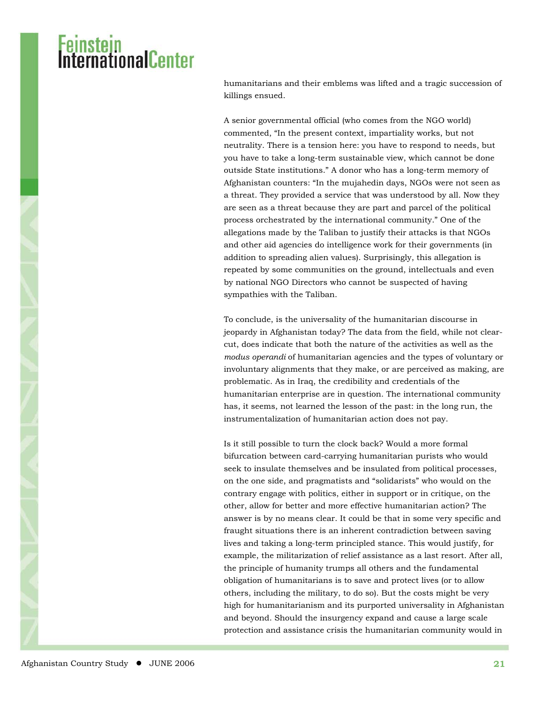humanitarians and their emblems was lifted and a tragic succession of killings ensued.

A senior governmental official (who comes from the NGO world) commented, "In the present context, impartiality works, but not neutrality. There is a tension here: you have to respond to needs, but you have to take a long-term sustainable view, which cannot be done outside State institutions." A donor who has a long-term memory of Afghanistan counters: "In the mujahedin days, NGOs were not seen as a threat. They provided a service that was understood by all. Now they are seen as a threat because they are part and parcel of the political process orchestrated by the international community." One of the allegations made by the Taliban to justify their attacks is that NGOs and other aid agencies do intelligence work for their governments (in addition to spreading alien values). Surprisingly, this allegation is repeated by some communities on the ground, intellectuals and even by national NGO Directors who cannot be suspected of having sympathies with the Taliban.

To conclude, is the universality of the humanitarian discourse in jeopardy in Afghanistan today? The data from the field, while not clearcut, does indicate that both the nature of the activities as well as the *modus operandi* of humanitarian agencies and the types of voluntary or involuntary alignments that they make, or are perceived as making, are problematic. As in Iraq, the credibility and credentials of the humanitarian enterprise are in question. The international community has, it seems, not learned the lesson of the past: in the long run, the instrumentalization of humanitarian action does not pay.

Is it still possible to turn the clock back? Would a more formal bifurcation between card-carrying humanitarian purists who would seek to insulate themselves and be insulated from political processes, on the one side, and pragmatists and "solidarists" who would on the contrary engage with politics, either in support or in critique, on the other, allow for better and more effective humanitarian action? The answer is by no means clear. It could be that in some very specific and fraught situations there is an inherent contradiction between saving lives and taking a long-term principled stance. This would justify, for example, the militarization of relief assistance as a last resort. After all, the principle of humanity trumps all others and the fundamental obligation of humanitarians is to save and protect lives (or to allow others, including the military, to do so). But the costs might be very high for humanitarianism and its purported universality in Afghanistan and beyond. Should the insurgency expand and cause a large scale protection and assistance crisis the humanitarian community would in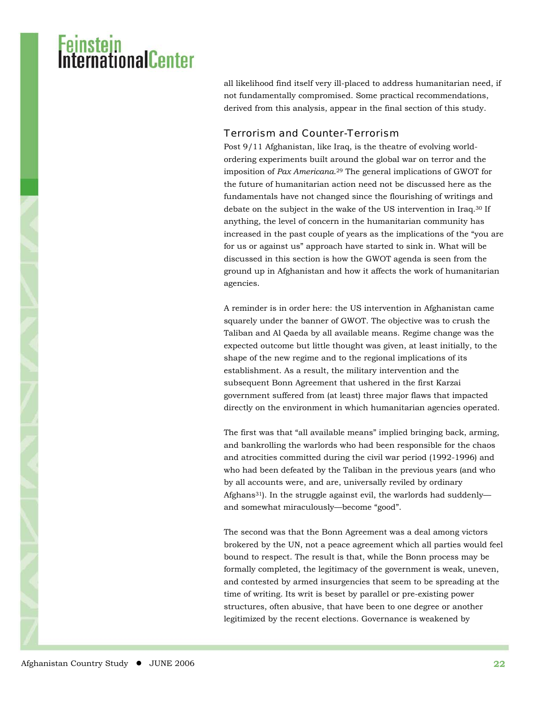#### Feinstein<br>International<mark>Ce</mark>nter

all likelihood find itself very ill-placed to address humanitarian need, if not fundamentally compromised. Some practical recommendations, derived from this analysis, appear in the final section of this study.

#### Terrorism and Counter-Terrorism

Post 9/11 Afghanistan, like Iraq, is the theatre of evolving worldordering experiments built around the global war on terror and the imposition of *Pax Americana*.29 The general implications of GWOT for the future of humanitarian action need not be discussed here as the fundamentals have not changed since the flourishing of writings and debate on the subject in the wake of the US intervention in Iraq.30 If anything, the level of concern in the humanitarian community has increased in the past couple of years as the implications of the "you are for us or against us" approach have started to sink in. What will be discussed in this section is how the GWOT agenda is seen from the ground up in Afghanistan and how it affects the work of humanitarian agencies.

A reminder is in order here: the US intervention in Afghanistan came squarely under the banner of GWOT. The objective was to crush the Taliban and Al Qaeda by all available means. Regime change was the expected outcome but little thought was given, at least initially, to the shape of the new regime and to the regional implications of its establishment. As a result, the military intervention and the subsequent Bonn Agreement that ushered in the first Karzai government suffered from (at least) three major flaws that impacted directly on the environment in which humanitarian agencies operated.

The first was that "all available means" implied bringing back, arming, and bankrolling the warlords who had been responsible for the chaos and atrocities committed during the civil war period (1992-1996) and who had been defeated by the Taliban in the previous years (and who by all accounts were, and are, universally reviled by ordinary Afghans31). In the struggle against evil, the warlords had suddenly and somewhat miraculously—become "good".

The second was that the Bonn Agreement was a deal among victors brokered by the UN, not a peace agreement which all parties would feel bound to respect. The result is that, while the Bonn process may be formally completed, the legitimacy of the government is weak, uneven, and contested by armed insurgencies that seem to be spreading at the time of writing. Its writ is beset by parallel or pre-existing power structures, often abusive, that have been to one degree or another legitimized by the recent elections. Governance is weakened by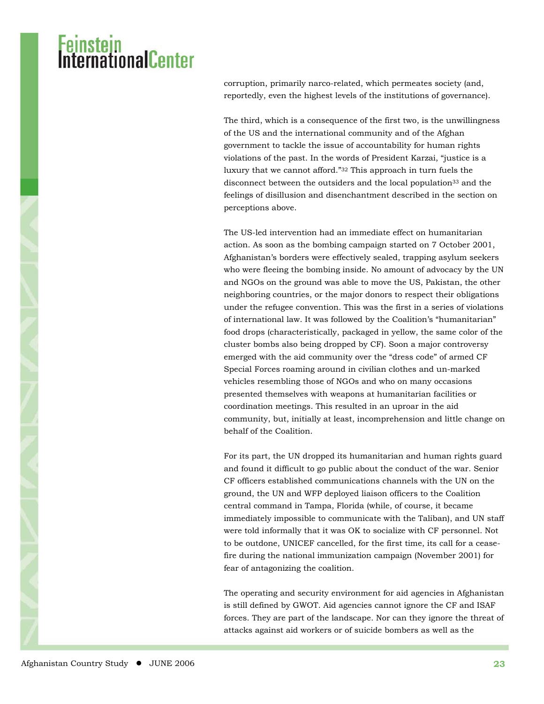corruption, primarily narco-related, which permeates society (and, reportedly, even the highest levels of the institutions of governance).

The third, which is a consequence of the first two, is the unwillingness of the US and the international community and of the Afghan government to tackle the issue of accountability for human rights violations of the past. In the words of President Karzai, "justice is a luxury that we cannot afford."32 This approach in turn fuels the disconnect between the outsiders and the local population<sup>33</sup> and the feelings of disillusion and disenchantment described in the section on perceptions above.

The US-led intervention had an immediate effect on humanitarian action. As soon as the bombing campaign started on 7 October 2001, Afghanistan's borders were effectively sealed, trapping asylum seekers who were fleeing the bombing inside. No amount of advocacy by the UN and NGOs on the ground was able to move the US, Pakistan, the other neighboring countries, or the major donors to respect their obligations under the refugee convention. This was the first in a series of violations of international law. It was followed by the Coalition's "humanitarian" food drops (characteristically, packaged in yellow, the same color of the cluster bombs also being dropped by CF). Soon a major controversy emerged with the aid community over the "dress code" of armed CF Special Forces roaming around in civilian clothes and un-marked vehicles resembling those of NGOs and who on many occasions presented themselves with weapons at humanitarian facilities or coordination meetings. This resulted in an uproar in the aid community, but, initially at least, incomprehension and little change on behalf of the Coalition.

For its part, the UN dropped its humanitarian and human rights guard and found it difficult to go public about the conduct of the war. Senior CF officers established communications channels with the UN on the ground, the UN and WFP deployed liaison officers to the Coalition central command in Tampa, Florida (while, of course, it became immediately impossible to communicate with the Taliban), and UN staff were told informally that it was OK to socialize with CF personnel. Not to be outdone, UNICEF cancelled, for the first time, its call for a ceasefire during the national immunization campaign (November 2001) for fear of antagonizing the coalition.

The operating and security environment for aid agencies in Afghanistan is still defined by GWOT. Aid agencies cannot ignore the CF and ISAF forces. They are part of the landscape. Nor can they ignore the threat of attacks against aid workers or of suicide bombers as well as the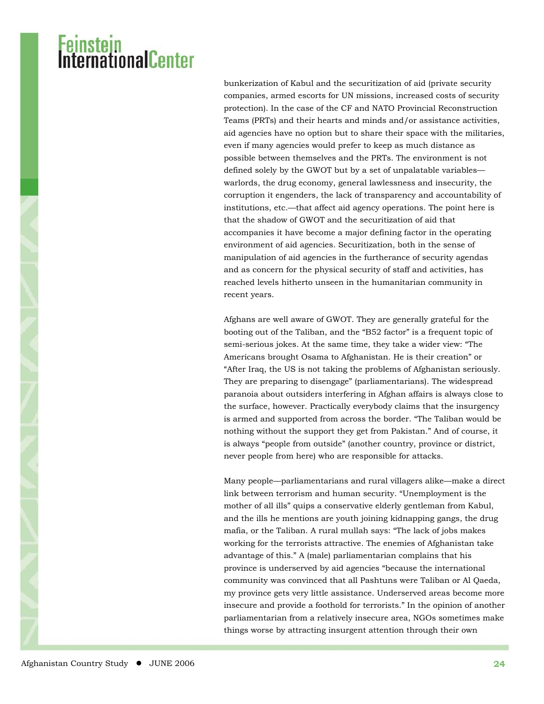bunkerization of Kabul and the securitization of aid (private security companies, armed escorts for UN missions, increased costs of security protection). In the case of the CF and NATO Provincial Reconstruction Teams (PRTs) and their hearts and minds and/or assistance activities, aid agencies have no option but to share their space with the militaries, even if many agencies would prefer to keep as much distance as possible between themselves and the PRTs. The environment is not defined solely by the GWOT but by a set of unpalatable variables warlords, the drug economy, general lawlessness and insecurity, the corruption it engenders, the lack of transparency and accountability of institutions, etc.—that affect aid agency operations. The point here is that the shadow of GWOT and the securitization of aid that accompanies it have become a major defining factor in the operating environment of aid agencies. Securitization, both in the sense of manipulation of aid agencies in the furtherance of security agendas and as concern for the physical security of staff and activities, has reached levels hitherto unseen in the humanitarian community in recent years.

Afghans are well aware of GWOT. They are generally grateful for the booting out of the Taliban, and the "B52 factor" is a frequent topic of semi-serious jokes. At the same time, they take a wider view: "The Americans brought Osama to Afghanistan. He is their creation" or "After Iraq, the US is not taking the problems of Afghanistan seriously. They are preparing to disengage" (parliamentarians). The widespread paranoia about outsiders interfering in Afghan affairs is always close to the surface, however. Practically everybody claims that the insurgency is armed and supported from across the border. "The Taliban would be nothing without the support they get from Pakistan." And of course, it is always "people from outside" (another country, province or district, never people from here) who are responsible for attacks.

Many people—parliamentarians and rural villagers alike—make a direct link between terrorism and human security. "Unemployment is the mother of all ills" quips a conservative elderly gentleman from Kabul, and the ills he mentions are youth joining kidnapping gangs, the drug mafia, or the Taliban. A rural mullah says: "The lack of jobs makes working for the terrorists attractive. The enemies of Afghanistan take advantage of this." A (male) parliamentarian complains that his province is underserved by aid agencies "because the international community was convinced that all Pashtuns were Taliban or Al Qaeda, my province gets very little assistance. Underserved areas become more insecure and provide a foothold for terrorists." In the opinion of another parliamentarian from a relatively insecure area, NGOs sometimes make things worse by attracting insurgent attention through their own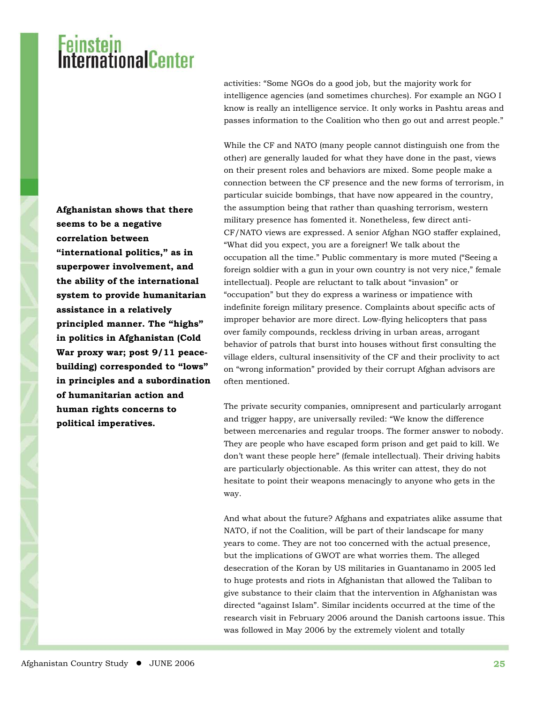### <mark>Feinstein</mark><br>International<mark>Ce</mark>nter

activities: "Some NGOs do a good job, but the majority work for intelligence agencies (and sometimes churches). For example an NGO I know is really an intelligence service. It only works in Pashtu areas and passes information to the Coalition who then go out and arrest people."

While the CF and NATO (many people cannot distinguish one from the other) are generally lauded for what they have done in the past, views on their present roles and behaviors are mixed. Some people make a connection between the CF presence and the new forms of terrorism, in particular suicide bombings, that have now appeared in the country, the assumption being that rather than quashing terrorism, western military presence has fomented it. Nonetheless, few direct anti-CF/NATO views are expressed. A senior Afghan NGO staffer explained, "What did you expect, you are a foreigner! We talk about the occupation all the time." Public commentary is more muted ("Seeing a foreign soldier with a gun in your own country is not very nice," female intellectual). People are reluctant to talk about "invasion" or "occupation" but they do express a wariness or impatience with indefinite foreign military presence. Complaints about specific acts of improper behavior are more direct. Low-flying helicopters that pass over family compounds, reckless driving in urban areas, arrogant behavior of patrols that burst into houses without first consulting the village elders, cultural insensitivity of the CF and their proclivity to act on "wrong information" provided by their corrupt Afghan advisors are often mentioned.

The private security companies, omnipresent and particularly arrogant and trigger happy, are universally reviled: "We know the difference between mercenaries and regular troops. The former answer to nobody. They are people who have escaped form prison and get paid to kill. We don't want these people here" (female intellectual). Their driving habits are particularly objectionable. As this writer can attest, they do not hesitate to point their weapons menacingly to anyone who gets in the way.

And what about the future? Afghans and expatriates alike assume that NATO, if not the Coalition, will be part of their landscape for many years to come. They are not too concerned with the actual presence, but the implications of GWOT are what worries them. The alleged desecration of the Koran by US militaries in Guantanamo in 2005 led to huge protests and riots in Afghanistan that allowed the Taliban to give substance to their claim that the intervention in Afghanistan was directed "against Islam". Similar incidents occurred at the time of the research visit in February 2006 around the Danish cartoons issue. This was followed in May 2006 by the extremely violent and totally

**seems to be a negative correlation between "international politics," as in superpower involvement, and the ability of the international system to provide humanitarian assistance in a relatively principled manner. The "highs" in politics in Afghanistan (Cold War proxy war; post 9/11 peacebuilding) corresponded to "lows" in principles and a subordination of humanitarian action and human rights concerns to political imperatives.** 

**Afghanistan shows that there**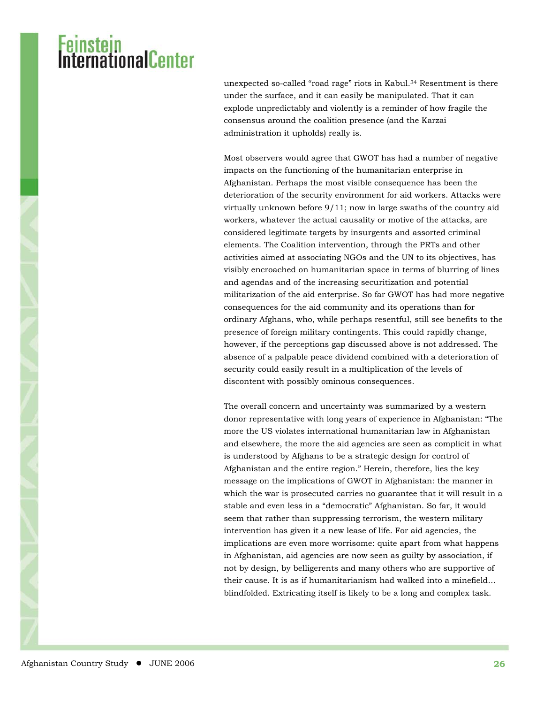unexpected so-called "road rage" riots in Kabul.34 Resentment is there under the surface, and it can easily be manipulated. That it can explode unpredictably and violently is a reminder of how fragile the consensus around the coalition presence (and the Karzai administration it upholds) really is.

Most observers would agree that GWOT has had a number of negative impacts on the functioning of the humanitarian enterprise in Afghanistan. Perhaps the most visible consequence has been the deterioration of the security environment for aid workers. Attacks were virtually unknown before 9/11; now in large swaths of the country aid workers, whatever the actual causality or motive of the attacks, are considered legitimate targets by insurgents and assorted criminal elements. The Coalition intervention, through the PRTs and other activities aimed at associating NGOs and the UN to its objectives, has visibly encroached on humanitarian space in terms of blurring of lines and agendas and of the increasing securitization and potential militarization of the aid enterprise. So far GWOT has had more negative consequences for the aid community and its operations than for ordinary Afghans, who, while perhaps resentful, still see benefits to the presence of foreign military contingents. This could rapidly change, however, if the perceptions gap discussed above is not addressed. The absence of a palpable peace dividend combined with a deterioration of security could easily result in a multiplication of the levels of discontent with possibly ominous consequences.

The overall concern and uncertainty was summarized by a western donor representative with long years of experience in Afghanistan: "The more the US violates international humanitarian law in Afghanistan and elsewhere, the more the aid agencies are seen as complicit in what is understood by Afghans to be a strategic design for control of Afghanistan and the entire region." Herein, therefore, lies the key message on the implications of GWOT in Afghanistan: the manner in which the war is prosecuted carries no guarantee that it will result in a stable and even less in a "democratic" Afghanistan. So far, it would seem that rather than suppressing terrorism, the western military intervention has given it a new lease of life. For aid agencies, the implications are even more worrisome: quite apart from what happens in Afghanistan, aid agencies are now seen as guilty by association, if not by design, by belligerents and many others who are supportive of their cause. It is as if humanitarianism had walked into a minefield… blindfolded. Extricating itself is likely to be a long and complex task.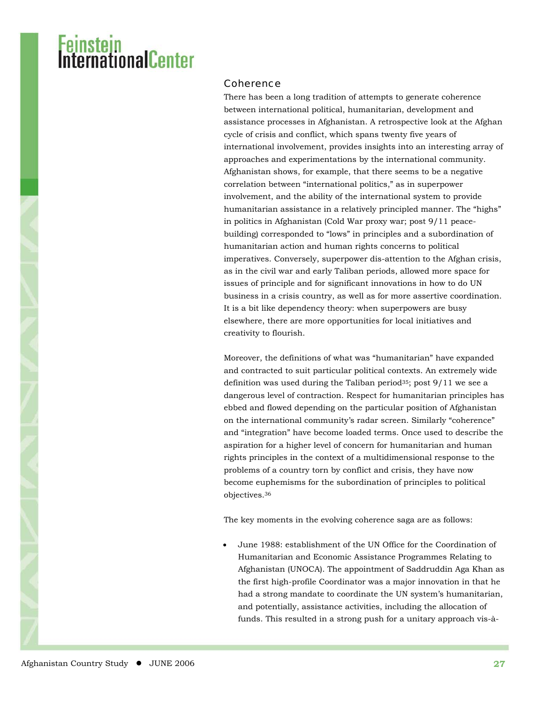#### **Coherence**

There has been a long tradition of attempts to generate coherence between international political, humanitarian, development and assistance processes in Afghanistan. A retrospective look at the Afghan cycle of crisis and conflict, which spans twenty five years of international involvement, provides insights into an interesting array of approaches and experimentations by the international community. Afghanistan shows, for example, that there seems to be a negative correlation between "international politics," as in superpower involvement, and the ability of the international system to provide humanitarian assistance in a relatively principled manner. The "highs" in politics in Afghanistan (Cold War proxy war; post 9/11 peacebuilding) corresponded to "lows" in principles and a subordination of humanitarian action and human rights concerns to political imperatives. Conversely, superpower dis-attention to the Afghan crisis, as in the civil war and early Taliban periods, allowed more space for issues of principle and for significant innovations in how to do UN business in a crisis country, as well as for more assertive coordination. It is a bit like dependency theory: when superpowers are busy elsewhere, there are more opportunities for local initiatives and creativity to flourish.

Moreover, the definitions of what was "humanitarian" have expanded and contracted to suit particular political contexts. An extremely wide definition was used during the Taliban period35; post 9/11 we see a dangerous level of contraction. Respect for humanitarian principles has ebbed and flowed depending on the particular position of Afghanistan on the international community's radar screen. Similarly "coherence" and "integration" have become loaded terms. Once used to describe the aspiration for a higher level of concern for humanitarian and human rights principles in the context of a multidimensional response to the problems of a country torn by conflict and crisis, they have now become euphemisms for the subordination of principles to political objectives.36

The key moments in the evolving coherence saga are as follows:

• June 1988: establishment of the UN Office for the Coordination of Humanitarian and Economic Assistance Programmes Relating to Afghanistan (UNOCA). The appointment of Saddruddin Aga Khan as the first high-profile Coordinator was a major innovation in that he had a strong mandate to coordinate the UN system's humanitarian, and potentially, assistance activities, including the allocation of funds. This resulted in a strong push for a unitary approach vis-à-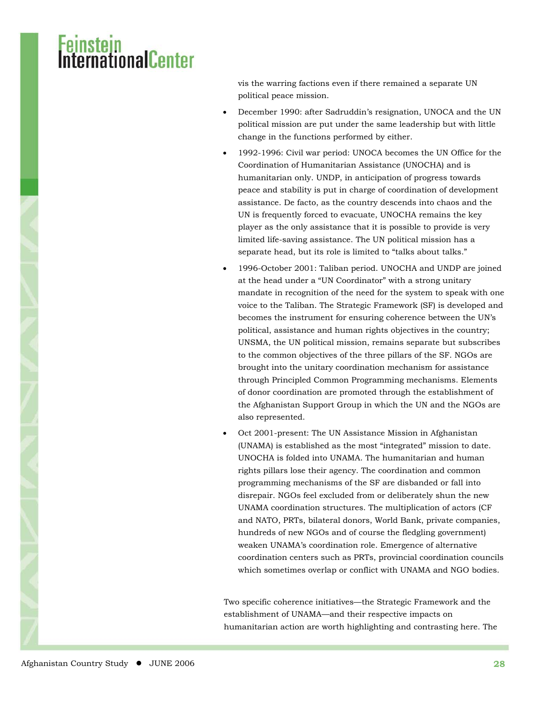vis the warring factions even if there remained a separate UN political peace mission.

- December 1990: after Sadruddin's resignation, UNOCA and the UN political mission are put under the same leadership but with little change in the functions performed by either.
- 1992-1996: Civil war period: UNOCA becomes the UN Office for the Coordination of Humanitarian Assistance (UNOCHA) and is humanitarian only. UNDP, in anticipation of progress towards peace and stability is put in charge of coordination of development assistance. De facto, as the country descends into chaos and the UN is frequently forced to evacuate, UNOCHA remains the key player as the only assistance that it is possible to provide is very limited life-saving assistance. The UN political mission has a separate head, but its role is limited to "talks about talks."
- 1996-October 2001: Taliban period. UNOCHA and UNDP are joined at the head under a "UN Coordinator" with a strong unitary mandate in recognition of the need for the system to speak with one voice to the Taliban. The Strategic Framework (SF) is developed and becomes the instrument for ensuring coherence between the UN's political, assistance and human rights objectives in the country; UNSMA, the UN political mission, remains separate but subscribes to the common objectives of the three pillars of the SF. NGOs are brought into the unitary coordination mechanism for assistance through Principled Common Programming mechanisms. Elements of donor coordination are promoted through the establishment of the Afghanistan Support Group in which the UN and the NGOs are also represented.
- Oct 2001-present: The UN Assistance Mission in Afghanistan (UNAMA) is established as the most "integrated" mission to date. UNOCHA is folded into UNAMA. The humanitarian and human rights pillars lose their agency. The coordination and common programming mechanisms of the SF are disbanded or fall into disrepair. NGOs feel excluded from or deliberately shun the new UNAMA coordination structures. The multiplication of actors (CF and NATO, PRTs, bilateral donors, World Bank, private companies, hundreds of new NGOs and of course the fledgling government) weaken UNAMA's coordination role. Emergence of alternative coordination centers such as PRTs, provincial coordination councils which sometimes overlap or conflict with UNAMA and NGO bodies.

Two specific coherence initiatives—the Strategic Framework and the establishment of UNAMA—and their respective impacts on humanitarian action are worth highlighting and contrasting here. The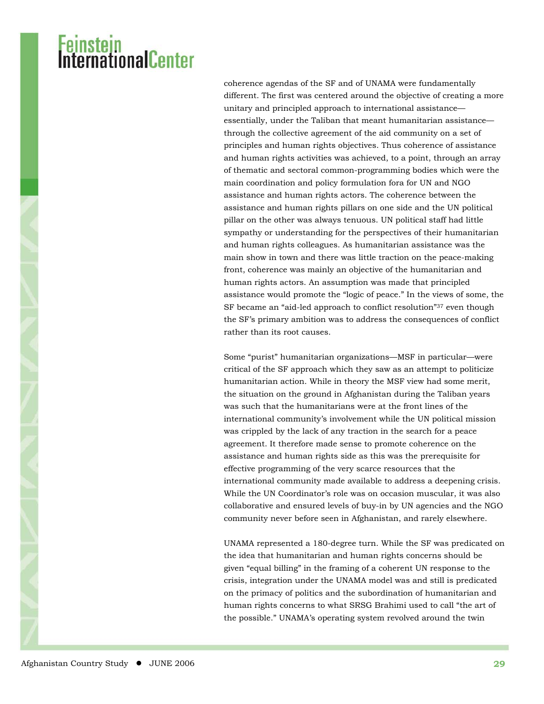coherence agendas of the SF and of UNAMA were fundamentally different. The first was centered around the objective of creating a more unitary and principled approach to international assistance essentially, under the Taliban that meant humanitarian assistance through the collective agreement of the aid community on a set of principles and human rights objectives. Thus coherence of assistance and human rights activities was achieved, to a point, through an array of thematic and sectoral common-programming bodies which were the main coordination and policy formulation fora for UN and NGO assistance and human rights actors. The coherence between the assistance and human rights pillars on one side and the UN political pillar on the other was always tenuous. UN political staff had little sympathy or understanding for the perspectives of their humanitarian and human rights colleagues. As humanitarian assistance was the main show in town and there was little traction on the peace-making front, coherence was mainly an objective of the humanitarian and human rights actors. An assumption was made that principled assistance would promote the "logic of peace." In the views of some, the SF became an "aid-led approach to conflict resolution"<sup>37</sup> even though the SF's primary ambition was to address the consequences of conflict rather than its root causes.

Some "purist" humanitarian organizations—MSF in particular—were critical of the SF approach which they saw as an attempt to politicize humanitarian action. While in theory the MSF view had some merit, the situation on the ground in Afghanistan during the Taliban years was such that the humanitarians were at the front lines of the international community's involvement while the UN political mission was crippled by the lack of any traction in the search for a peace agreement. It therefore made sense to promote coherence on the assistance and human rights side as this was the prerequisite for effective programming of the very scarce resources that the international community made available to address a deepening crisis. While the UN Coordinator's role was on occasion muscular, it was also collaborative and ensured levels of buy-in by UN agencies and the NGO community never before seen in Afghanistan, and rarely elsewhere.

UNAMA represented a 180-degree turn. While the SF was predicated on the idea that humanitarian and human rights concerns should be given "equal billing" in the framing of a coherent UN response to the crisis, integration under the UNAMA model was and still is predicated on the primacy of politics and the subordination of humanitarian and human rights concerns to what SRSG Brahimi used to call "the art of the possible." UNAMA's operating system revolved around the twin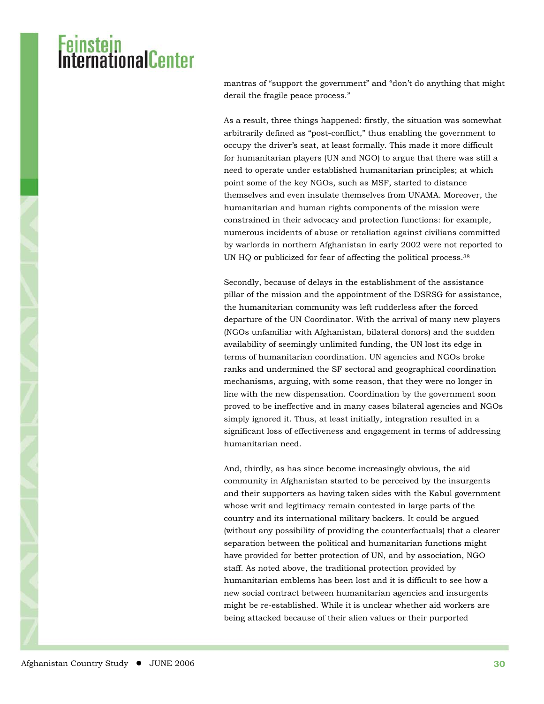mantras of "support the government" and "don't do anything that might derail the fragile peace process."

As a result, three things happened: firstly, the situation was somewhat arbitrarily defined as "post-conflict," thus enabling the government to occupy the driver's seat, at least formally. This made it more difficult for humanitarian players (UN and NGO) to argue that there was still a need to operate under established humanitarian principles; at which point some of the key NGOs, such as MSF, started to distance themselves and even insulate themselves from UNAMA. Moreover, the humanitarian and human rights components of the mission were constrained in their advocacy and protection functions: for example, numerous incidents of abuse or retaliation against civilians committed by warlords in northern Afghanistan in early 2002 were not reported to UN HQ or publicized for fear of affecting the political process.38

Secondly, because of delays in the establishment of the assistance pillar of the mission and the appointment of the DSRSG for assistance, the humanitarian community was left rudderless after the forced departure of the UN Coordinator. With the arrival of many new players (NGOs unfamiliar with Afghanistan, bilateral donors) and the sudden availability of seemingly unlimited funding, the UN lost its edge in terms of humanitarian coordination. UN agencies and NGOs broke ranks and undermined the SF sectoral and geographical coordination mechanisms, arguing, with some reason, that they were no longer in line with the new dispensation. Coordination by the government soon proved to be ineffective and in many cases bilateral agencies and NGOs simply ignored it. Thus, at least initially, integration resulted in a significant loss of effectiveness and engagement in terms of addressing humanitarian need.

And, thirdly, as has since become increasingly obvious, the aid community in Afghanistan started to be perceived by the insurgents and their supporters as having taken sides with the Kabul government whose writ and legitimacy remain contested in large parts of the country and its international military backers. It could be argued (without any possibility of providing the counterfactuals) that a clearer separation between the political and humanitarian functions might have provided for better protection of UN, and by association, NGO staff. As noted above, the traditional protection provided by humanitarian emblems has been lost and it is difficult to see how a new social contract between humanitarian agencies and insurgents might be re-established. While it is unclear whether aid workers are being attacked because of their alien values or their purported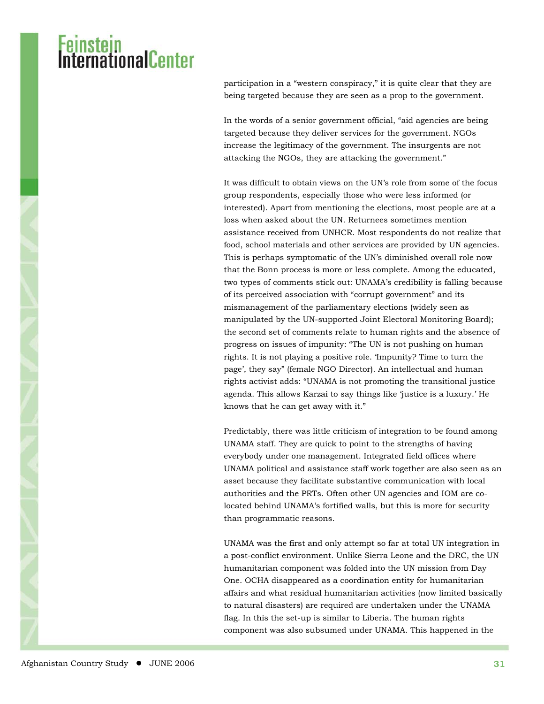participation in a "western conspiracy," it is quite clear that they are being targeted because they are seen as a prop to the government.

In the words of a senior government official, "aid agencies are being targeted because they deliver services for the government. NGOs increase the legitimacy of the government. The insurgents are not attacking the NGOs, they are attacking the government."

It was difficult to obtain views on the UN's role from some of the focus group respondents, especially those who were less informed (or interested). Apart from mentioning the elections, most people are at a loss when asked about the UN. Returnees sometimes mention assistance received from UNHCR. Most respondents do not realize that food, school materials and other services are provided by UN agencies. This is perhaps symptomatic of the UN's diminished overall role now that the Bonn process is more or less complete. Among the educated, two types of comments stick out: UNAMA's credibility is falling because of its perceived association with "corrupt government" and its mismanagement of the parliamentary elections (widely seen as manipulated by the UN-supported Joint Electoral Monitoring Board); the second set of comments relate to human rights and the absence of progress on issues of impunity: "The UN is not pushing on human rights. It is not playing a positive role. 'Impunity? Time to turn the page', they say" (female NGO Director). An intellectual and human rights activist adds: "UNAMA is not promoting the transitional justice agenda. This allows Karzai to say things like 'justice is a luxury.' He knows that he can get away with it."

Predictably, there was little criticism of integration to be found among UNAMA staff. They are quick to point to the strengths of having everybody under one management. Integrated field offices where UNAMA political and assistance staff work together are also seen as an asset because they facilitate substantive communication with local authorities and the PRTs. Often other UN agencies and IOM are colocated behind UNAMA's fortified walls, but this is more for security than programmatic reasons.

UNAMA was the first and only attempt so far at total UN integration in a post-conflict environment. Unlike Sierra Leone and the DRC, the UN humanitarian component was folded into the UN mission from Day One. OCHA disappeared as a coordination entity for humanitarian affairs and what residual humanitarian activities (now limited basically to natural disasters) are required are undertaken under the UNAMA flag. In this the set-up is similar to Liberia. The human rights component was also subsumed under UNAMA. This happened in the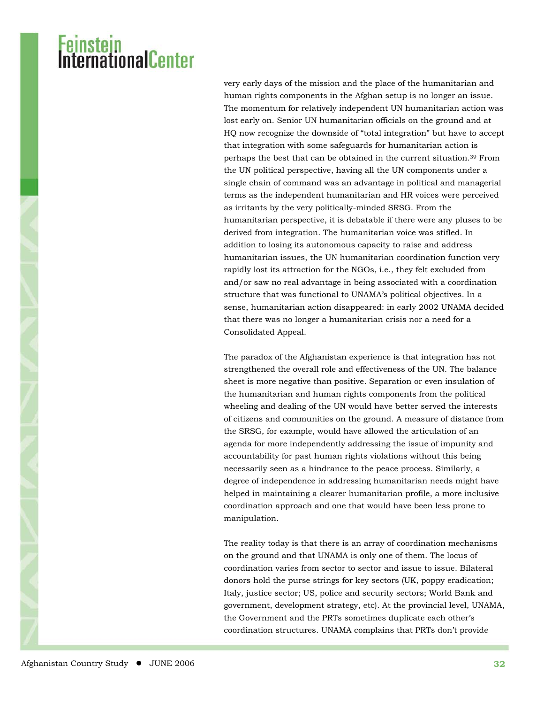very early days of the mission and the place of the humanitarian and human rights components in the Afghan setup is no longer an issue. The momentum for relatively independent UN humanitarian action was lost early on. Senior UN humanitarian officials on the ground and at HQ now recognize the downside of "total integration" but have to accept that integration with some safeguards for humanitarian action is perhaps the best that can be obtained in the current situation.39 From the UN political perspective, having all the UN components under a single chain of command was an advantage in political and managerial terms as the independent humanitarian and HR voices were perceived as irritants by the very politically-minded SRSG. From the humanitarian perspective, it is debatable if there were any pluses to be derived from integration. The humanitarian voice was stifled. In addition to losing its autonomous capacity to raise and address humanitarian issues, the UN humanitarian coordination function very rapidly lost its attraction for the NGOs, i.e., they felt excluded from and/or saw no real advantage in being associated with a coordination structure that was functional to UNAMA's political objectives. In a sense, humanitarian action disappeared: in early 2002 UNAMA decided that there was no longer a humanitarian crisis nor a need for a Consolidated Appeal.

The paradox of the Afghanistan experience is that integration has not strengthened the overall role and effectiveness of the UN. The balance sheet is more negative than positive. Separation or even insulation of the humanitarian and human rights components from the political wheeling and dealing of the UN would have better served the interests of citizens and communities on the ground. A measure of distance from the SRSG, for example, would have allowed the articulation of an agenda for more independently addressing the issue of impunity and accountability for past human rights violations without this being necessarily seen as a hindrance to the peace process. Similarly, a degree of independence in addressing humanitarian needs might have helped in maintaining a clearer humanitarian profile, a more inclusive coordination approach and one that would have been less prone to manipulation.

The reality today is that there is an array of coordination mechanisms on the ground and that UNAMA is only one of them. The locus of coordination varies from sector to sector and issue to issue. Bilateral donors hold the purse strings for key sectors (UK, poppy eradication; Italy, justice sector; US, police and security sectors; World Bank and government, development strategy, etc). At the provincial level, UNAMA, the Government and the PRTs sometimes duplicate each other's coordination structures. UNAMA complains that PRTs don't provide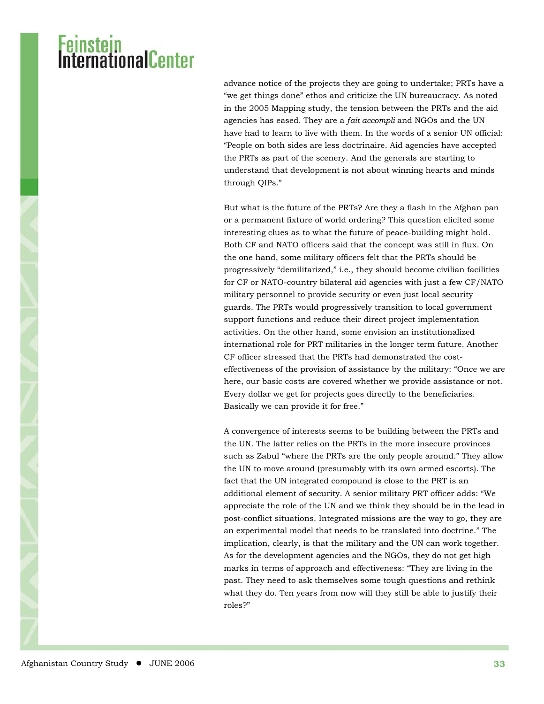advance notice of the projects they are going to undertake; PRTs have a "we get things done" ethos and criticize the UN bureaucracy. As noted in the 2005 Mapping study, the tension between the PRTs and the aid agencies has eased. They are a *fait accompli* and NGOs and the UN have had to learn to live with them. In the words of a senior UN official: "People on both sides are less doctrinaire. Aid agencies have accepted the PRTs as part of the scenery. And the generals are starting to understand that development is not about winning hearts and minds through QIPs."

But what is the future of the PRTs? Are they a flash in the Afghan pan or a permanent fixture of world ordering? This question elicited some interesting clues as to what the future of peace-building might hold. Both CF and NATO officers said that the concept was still in flux. On the one hand, some military officers felt that the PRTs should be progressively "demilitarized," i.e., they should become civilian facilities for CF or NATO-country bilateral aid agencies with just a few CF/NATO military personnel to provide security or even just local security guards. The PRTs would progressively transition to local government support functions and reduce their direct project implementation activities. On the other hand, some envision an institutionalized international role for PRT militaries in the longer term future. Another CF officer stressed that the PRTs had demonstrated the costeffectiveness of the provision of assistance by the military: "Once we are here, our basic costs are covered whether we provide assistance or not. Every dollar we get for projects goes directly to the beneficiaries. Basically we can provide it for free."

A convergence of interests seems to be building between the PRTs and the UN. The latter relies on the PRTs in the more insecure provinces such as Zabul "where the PRTs are the only people around." They allow the UN to move around (presumably with its own armed escorts). The fact that the UN integrated compound is close to the PRT is an additional element of security. A senior military PRT officer adds: "We appreciate the role of the UN and we think they should be in the lead in post-conflict situations. Integrated missions are the way to go, they are an experimental model that needs to be translated into doctrine." The implication, clearly, is that the military and the UN can work together. As for the development agencies and the NGOs, they do not get high marks in terms of approach and effectiveness: "They are living in the past. They need to ask themselves some tough questions and rethink what they do. Ten years from now will they still be able to justify their roles?"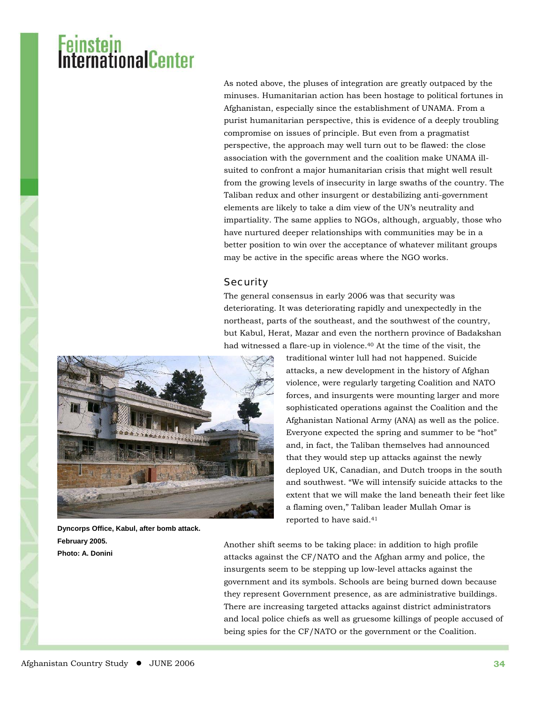As noted above, the pluses of integration are greatly outpaced by the minuses. Humanitarian action has been hostage to political fortunes in Afghanistan, especially since the establishment of UNAMA. From a purist humanitarian perspective, this is evidence of a deeply troubling compromise on issues of principle. But even from a pragmatist perspective, the approach may well turn out to be flawed: the close association with the government and the coalition make UNAMA illsuited to confront a major humanitarian crisis that might well result from the growing levels of insecurity in large swaths of the country. The Taliban redux and other insurgent or destabilizing anti-government elements are likely to take a dim view of the UN's neutrality and impartiality. The same applies to NGOs, although, arguably, those who have nurtured deeper relationships with communities may be in a better position to win over the acceptance of whatever militant groups may be active in the specific areas where the NGO works.

#### **Security**

The general consensus in early 2006 was that security was deteriorating. It was deteriorating rapidly and unexpectedly in the northeast, parts of the southeast, and the southwest of the country, but Kabul, Herat, Mazar and even the northern province of Badakshan had witnessed a flare-up in violence.40 At the time of the visit, the



**Dyncorps Office, Kabul, after bomb attack. February 2005. Photo: A. Donini** 

traditional winter lull had not happened. Suicide attacks, a new development in the history of Afghan violence, were regularly targeting Coalition and NATO forces, and insurgents were mounting larger and more sophisticated operations against the Coalition and the Afghanistan National Army (ANA) as well as the police. Everyone expected the spring and summer to be "hot" and, in fact, the Taliban themselves had announced that they would step up attacks against the newly deployed UK, Canadian, and Dutch troops in the south and southwest. "We will intensify suicide attacks to the extent that we will make the land beneath their feet like a flaming oven," Taliban leader Mullah Omar is reported to have said.41

Another shift seems to be taking place: in addition to high profile attacks against the CF/NATO and the Afghan army and police, the insurgents seem to be stepping up low-level attacks against the government and its symbols. Schools are being burned down because they represent Government presence, as are administrative buildings. There are increasing targeted attacks against district administrators and local police chiefs as well as gruesome killings of people accused of being spies for the CF/NATO or the government or the Coalition.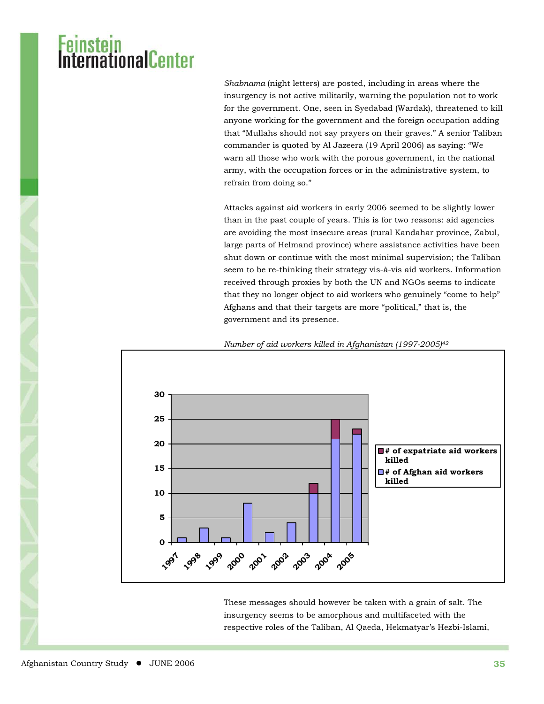### ernationalCenter

*Shabnama* (night letters) are posted, including in areas where the insurgency is not active militarily, warning the population not to work for the government. One, seen in Syedabad (Wardak), threatened to kill anyone working for the government and the foreign occupation adding that "Mullahs should not say prayers on their graves." A senior Taliban commander is quoted by Al Jazeera (19 April 2006) as saying: "We warn all those who work with the porous government, in the national army, with the occupation forces or in the administrative system, to refrain from doing so."

Attacks against aid workers in early 2006 seemed to be slightly lower than in the past couple of years. This is for two reasons: aid agencies are avoiding the most insecure areas (rural Kandahar province, Zabul, large parts of Helmand province) where assistance activities have been shut down or continue with the most minimal supervision; the Taliban seem to be re-thinking their strategy vis-à-vis aid workers. Information received through proxies by both the UN and NGOs seems to indicate that they no longer object to aid workers who genuinely "come to help" Afghans and that their targets are more "political," that is, the government and its presence.

*Number of aid workers killed in Afghanistan (1997-2005)42*



These messages should however be taken with a grain of salt. The insurgency seems to be amorphous and multifaceted with the respective roles of the Taliban, Al Qaeda, Hekmatyar's Hezbi-Islami,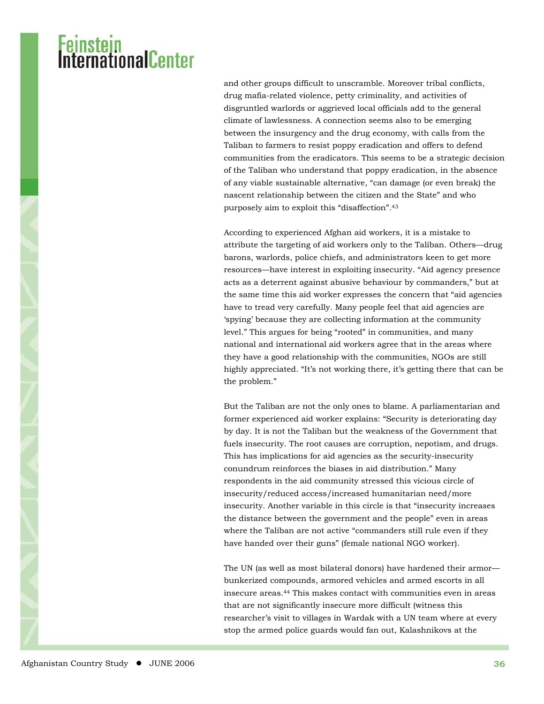and other groups difficult to unscramble. Moreover tribal conflicts, drug mafia-related violence, petty criminality, and activities of disgruntled warlords or aggrieved local officials add to the general climate of lawlessness. A connection seems also to be emerging between the insurgency and the drug economy, with calls from the Taliban to farmers to resist poppy eradication and offers to defend communities from the eradicators. This seems to be a strategic decision of the Taliban who understand that poppy eradication, in the absence of any viable sustainable alternative, "can damage (or even break) the nascent relationship between the citizen and the State" and who purposely aim to exploit this "disaffection".43

According to experienced Afghan aid workers, it is a mistake to attribute the targeting of aid workers only to the Taliban. Others—drug barons, warlords, police chiefs, and administrators keen to get more resources—have interest in exploiting insecurity. "Aid agency presence acts as a deterrent against abusive behaviour by commanders," but at the same time this aid worker expresses the concern that "aid agencies have to tread very carefully. Many people feel that aid agencies are 'spying' because they are collecting information at the community level." This argues for being "rooted" in communities, and many national and international aid workers agree that in the areas where they have a good relationship with the communities, NGOs are still highly appreciated. "It's not working there, it's getting there that can be the problem."

But the Taliban are not the only ones to blame. A parliamentarian and former experienced aid worker explains: "Security is deteriorating day by day. It is not the Taliban but the weakness of the Government that fuels insecurity. The root causes are corruption, nepotism, and drugs. This has implications for aid agencies as the security-insecurity conundrum reinforces the biases in aid distribution." Many respondents in the aid community stressed this vicious circle of insecurity/reduced access/increased humanitarian need/more insecurity. Another variable in this circle is that "insecurity increases the distance between the government and the people" even in areas where the Taliban are not active "commanders still rule even if they have handed over their guns" (female national NGO worker).

The UN (as well as most bilateral donors) have hardened their armor bunkerized compounds, armored vehicles and armed escorts in all insecure areas.44 This makes contact with communities even in areas that are not significantly insecure more difficult (witness this researcher's visit to villages in Wardak with a UN team where at every stop the armed police guards would fan out, Kalashnikovs at the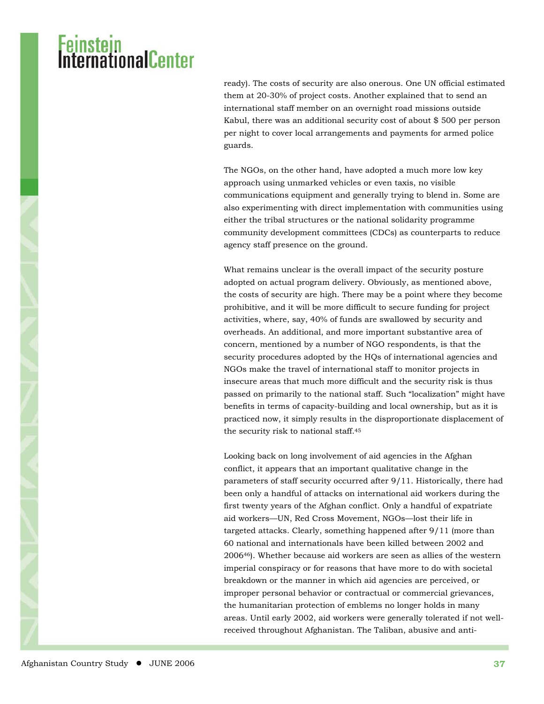ready). The costs of security are also onerous. One UN official estimated them at 20-30% of project costs. Another explained that to send an international staff member on an overnight road missions outside Kabul, there was an additional security cost of about \$ 500 per person per night to cover local arrangements and payments for armed police guards.

The NGOs, on the other hand, have adopted a much more low key approach using unmarked vehicles or even taxis, no visible communications equipment and generally trying to blend in. Some are also experimenting with direct implementation with communities using either the tribal structures or the national solidarity programme community development committees (CDCs) as counterparts to reduce agency staff presence on the ground.

What remains unclear is the overall impact of the security posture adopted on actual program delivery. Obviously, as mentioned above, the costs of security are high. There may be a point where they become prohibitive, and it will be more difficult to secure funding for project activities, where, say, 40% of funds are swallowed by security and overheads. An additional, and more important substantive area of concern, mentioned by a number of NGO respondents, is that the security procedures adopted by the HQs of international agencies and NGOs make the travel of international staff to monitor projects in insecure areas that much more difficult and the security risk is thus passed on primarily to the national staff. Such "localization" might have benefits in terms of capacity-building and local ownership, but as it is practiced now, it simply results in the disproportionate displacement of the security risk to national staff.45

Looking back on long involvement of aid agencies in the Afghan conflict, it appears that an important qualitative change in the parameters of staff security occurred after 9/11. Historically, there had been only a handful of attacks on international aid workers during the first twenty years of the Afghan conflict. Only a handful of expatriate aid workers—UN, Red Cross Movement, NGOs—lost their life in targeted attacks. Clearly, something happened after 9/11 (more than 60 national and internationals have been killed between 2002 and 200646). Whether because aid workers are seen as allies of the western imperial conspiracy or for reasons that have more to do with societal breakdown or the manner in which aid agencies are perceived, or improper personal behavior or contractual or commercial grievances, the humanitarian protection of emblems no longer holds in many areas. Until early 2002, aid workers were generally tolerated if not wellreceived throughout Afghanistan. The Taliban, abusive and anti-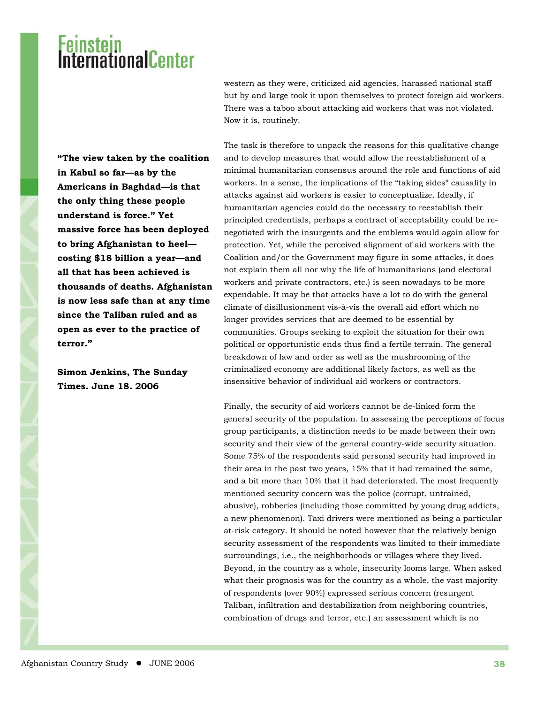western as they were, criticized aid agencies, harassed national staff but by and large took it upon themselves to protect foreign aid workers. There was a taboo about attacking aid workers that was not violated. Now it is, routinely.

**"The view taken by the coalition in Kabul so far—as by the Americans in Baghdad—is that the only thing these people understand is force." Yet massive force has been deployed to bring Afghanistan to heel costing \$18 billion a year—and all that has been achieved is thousands of deaths. Afghanistan is now less safe than at any time since the Taliban ruled and as open as ever to the practice of terror."** 

**Simon Jenkins, The Sunday Times, June 18, 2006**

The task is therefore to unpack the reasons for this qualitative change and to develop measures that would allow the reestablishment of a minimal humanitarian consensus around the role and functions of aid workers. In a sense, the implications of the "taking sides" causality in attacks against aid workers is easier to conceptualize. Ideally, if humanitarian agencies could do the necessary to reestablish their principled credentials, perhaps a contract of acceptability could be renegotiated with the insurgents and the emblems would again allow for protection. Yet, while the perceived alignment of aid workers with the Coalition and/or the Government may figure in some attacks, it does not explain them all nor why the life of humanitarians (and electoral workers and private contractors, etc.) is seen nowadays to be more expendable. It may be that attacks have a lot to do with the general climate of disillusionment vis-à-vis the overall aid effort which no longer provides services that are deemed to be essential by communities. Groups seeking to exploit the situation for their own political or opportunistic ends thus find a fertile terrain. The general breakdown of law and order as well as the mushrooming of the criminalized economy are additional likely factors, as well as the insensitive behavior of individual aid workers or contractors.

Finally, the security of aid workers cannot be de-linked form the general security of the population. In assessing the perceptions of focus group participants, a distinction needs to be made between their own security and their view of the general country-wide security situation. Some 75% of the respondents said personal security had improved in their area in the past two years, 15% that it had remained the same, and a bit more than 10% that it had deteriorated. The most frequently mentioned security concern was the police (corrupt, untrained, abusive), robberies (including those committed by young drug addicts, a new phenomenon). Taxi drivers were mentioned as being a particular at-risk category. It should be noted however that the relatively benign security assessment of the respondents was limited to their immediate surroundings, i.e., the neighborhoods or villages where they lived. Beyond, in the country as a whole, insecurity looms large. When asked what their prognosis was for the country as a whole, the vast majority of respondents (over 90%) expressed serious concern (resurgent Taliban, infiltration and destabilization from neighboring countries, combination of drugs and terror, etc.) an assessment which is no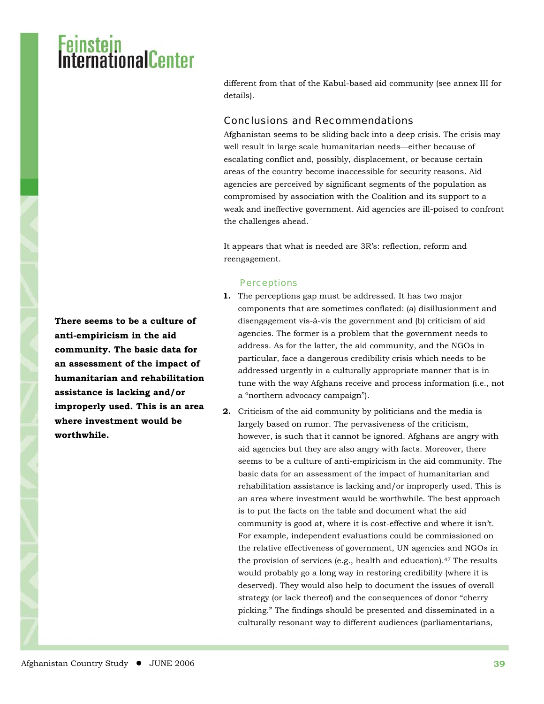## Feinstein<br>International<mark>Ce</mark>nter

different from that of the Kabul-based aid community (see annex III for details).

#### Conclusions and Recommendations

Afghanistan seems to be sliding back into a deep crisis. The crisis may well result in large scale humanitarian needs—either because of escalating conflict and, possibly, displacement, or because certain areas of the country become inaccessible for security reasons. Aid agencies are perceived by significant segments of the population as compromised by association with the Coalition and its support to a weak and ineffective government. Aid agencies are ill-poised to confront the challenges ahead.

It appears that what is needed are 3R's: reflection, reform and reengagement.

#### **Perceptions**

- **1.** The perceptions gap must be addressed. It has two major components that are sometimes conflated: (a) disillusionment and disengagement vis-à-vis the government and (b) criticism of aid agencies. The former is a problem that the government needs to address. As for the latter, the aid community, and the NGOs in particular, face a dangerous credibility crisis which needs to be addressed urgently in a culturally appropriate manner that is in tune with the way Afghans receive and process information (i.e., not a "northern advocacy campaign").
- **2.** Criticism of the aid community by politicians and the media is largely based on rumor. The pervasiveness of the criticism, however, is such that it cannot be ignored. Afghans are angry with aid agencies but they are also angry with facts. Moreover, there seems to be a culture of anti-empiricism in the aid community. The basic data for an assessment of the impact of humanitarian and rehabilitation assistance is lacking and/or improperly used. This is an area where investment would be worthwhile. The best approach is to put the facts on the table and document what the aid community is good at, where it is cost-effective and where it isn't. For example, independent evaluations could be commissioned on the relative effectiveness of government, UN agencies and NGOs in the provision of services (e.g., health and education).47 The results would probably go a long way in restoring credibility (where it is deserved). They would also help to document the issues of overall strategy (or lack thereof) and the consequences of donor "cherry picking." The findings should be presented and disseminated in a culturally resonant way to different audiences (parliamentarians,

**There seems to be a culture of anti-empiricism in the aid community. The basic data for an assessment of the impact of humanitarian and rehabilitation assistance is lacking and/or improperly used. This is an area where investment would be worthwhile.**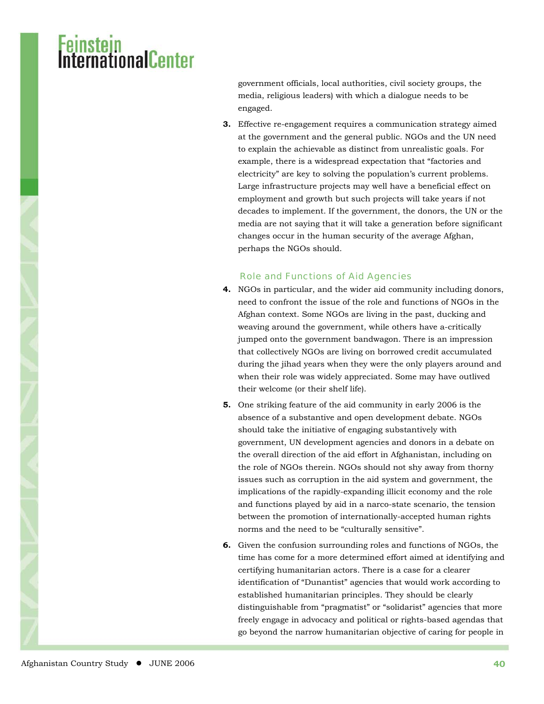government officials, local authorities, civil society groups, the media, religious leaders) with which a dialogue needs to be engaged.

**3.** Effective re-engagement requires a communication strategy aimed at the government and the general public. NGOs and the UN need to explain the achievable as distinct from unrealistic goals. For example, there is a widespread expectation that "factories and electricity" are key to solving the population's current problems. Large infrastructure projects may well have a beneficial effect on employment and growth but such projects will take years if not decades to implement. If the government, the donors, the UN or the media are not saying that it will take a generation before significant changes occur in the human security of the average Afghan, perhaps the NGOs should.

#### Role and Functions of Aid Agencies

- **4.** NGOs in particular, and the wider aid community including donors, need to confront the issue of the role and functions of NGOs in the Afghan context. Some NGOs are living in the past, ducking and weaving around the government, while others have a-critically jumped onto the government bandwagon. There is an impression that collectively NGOs are living on borrowed credit accumulated during the jihad years when they were the only players around and when their role was widely appreciated. Some may have outlived their welcome (or their shelf life).
- **5.** One striking feature of the aid community in early 2006 is the absence of a substantive and open development debate. NGOs should take the initiative of engaging substantively with government, UN development agencies and donors in a debate on the overall direction of the aid effort in Afghanistan, including on the role of NGOs therein. NGOs should not shy away from thorny issues such as corruption in the aid system and government, the implications of the rapidly-expanding illicit economy and the role and functions played by aid in a narco-state scenario, the tension between the promotion of internationally-accepted human rights norms and the need to be "culturally sensitive".
- **6.** Given the confusion surrounding roles and functions of NGOs, the time has come for a more determined effort aimed at identifying and certifying humanitarian actors. There is a case for a clearer identification of "Dunantist" agencies that would work according to established humanitarian principles. They should be clearly distinguishable from "pragmatist" or "solidarist" agencies that more freely engage in advocacy and political or rights-based agendas that go beyond the narrow humanitarian objective of caring for people in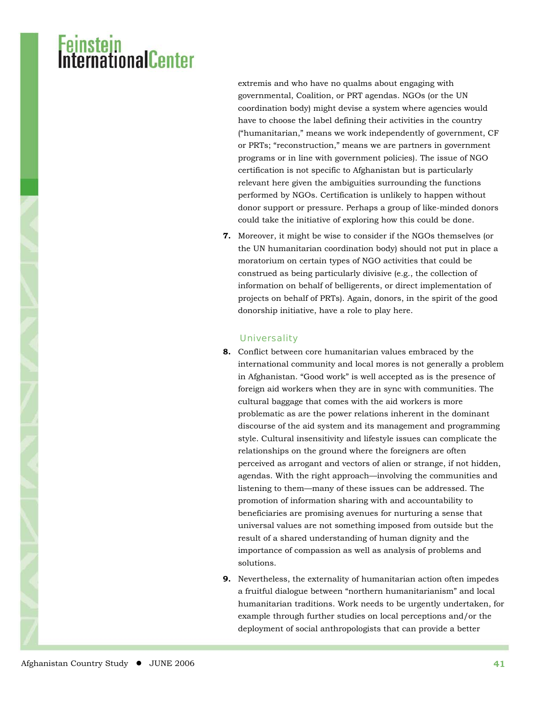extremis and who have no qualms about engaging with governmental, Coalition, or PRT agendas. NGOs (or the UN coordination body) might devise a system where agencies would have to choose the label defining their activities in the country ("humanitarian," means we work independently of government, CF or PRTs; "reconstruction," means we are partners in government programs or in line with government policies). The issue of NGO certification is not specific to Afghanistan but is particularly relevant here given the ambiguities surrounding the functions performed by NGOs. Certification is unlikely to happen without donor support or pressure. Perhaps a group of like-minded donors could take the initiative of exploring how this could be done.

**7.** Moreover, it might be wise to consider if the NGOs themselves (or the UN humanitarian coordination body) should not put in place a moratorium on certain types of NGO activities that could be construed as being particularly divisive (e.g., the collection of information on behalf of belligerents, or direct implementation of projects on behalf of PRTs). Again, donors, in the spirit of the good donorship initiative, have a role to play here.

#### **Universality**

- **8.** Conflict between core humanitarian values embraced by the international community and local mores is not generally a problem in Afghanistan. "Good work" is well accepted as is the presence of foreign aid workers when they are in sync with communities. The cultural baggage that comes with the aid workers is more problematic as are the power relations inherent in the dominant discourse of the aid system and its management and programming style. Cultural insensitivity and lifestyle issues can complicate the relationships on the ground where the foreigners are often perceived as arrogant and vectors of alien or strange, if not hidden, agendas. With the right approach—involving the communities and listening to them—many of these issues can be addressed. The promotion of information sharing with and accountability to beneficiaries are promising avenues for nurturing a sense that universal values are not something imposed from outside but the result of a shared understanding of human dignity and the importance of compassion as well as analysis of problems and solutions.
- **9.** Nevertheless, the externality of humanitarian action often impedes a fruitful dialogue between "northern humanitarianism" and local humanitarian traditions. Work needs to be urgently undertaken, for example through further studies on local perceptions and/or the deployment of social anthropologists that can provide a better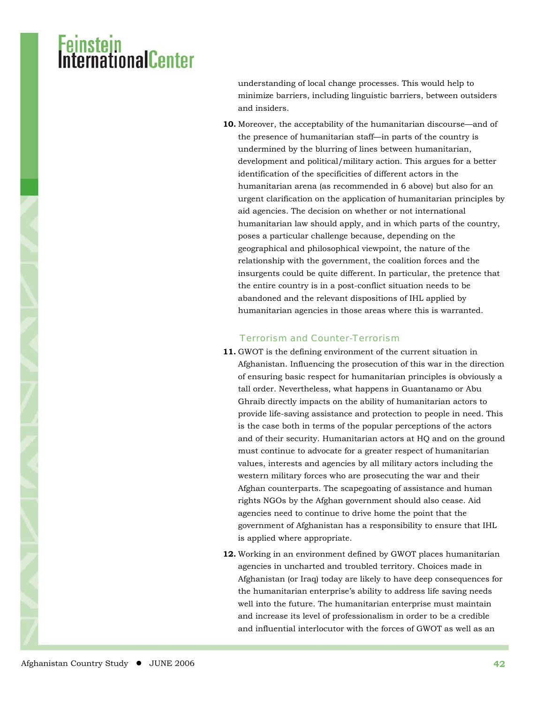understanding of local change processes. This would help to minimize barriers, including linguistic barriers, between outsiders and insiders.

**10.** Moreover, the acceptability of the humanitarian discourse—and of the presence of humanitarian staff—in parts of the country is undermined by the blurring of lines between humanitarian, development and political/military action. This argues for a better identification of the specificities of different actors in the humanitarian arena (as recommended in 6 above) but also for an urgent clarification on the application of humanitarian principles by aid agencies. The decision on whether or not international humanitarian law should apply, and in which parts of the country, poses a particular challenge because, depending on the geographical and philosophical viewpoint, the nature of the relationship with the government, the coalition forces and the insurgents could be quite different. In particular, the pretence that the entire country is in a post-conflict situation needs to be abandoned and the relevant dispositions of IHL applied by humanitarian agencies in those areas where this is warranted.

#### Terrorism and Counter-Terrorism

- **11.** GWOT is the defining environment of the current situation in Afghanistan. Influencing the prosecution of this war in the direction of ensuring basic respect for humanitarian principles is obviously a tall order. Nevertheless, what happens in Guantanamo or Abu Ghraib directly impacts on the ability of humanitarian actors to provide life-saving assistance and protection to people in need. This is the case both in terms of the popular perceptions of the actors and of their security. Humanitarian actors at HQ and on the ground must continue to advocate for a greater respect of humanitarian values, interests and agencies by all military actors including the western military forces who are prosecuting the war and their Afghan counterparts. The scapegoating of assistance and human rights NGOs by the Afghan government should also cease. Aid agencies need to continue to drive home the point that the government of Afghanistan has a responsibility to ensure that IHL is applied where appropriate.
- **12.** Working in an environment defined by GWOT places humanitarian agencies in uncharted and troubled territory. Choices made in Afghanistan (or Iraq) today are likely to have deep consequences for the humanitarian enterprise's ability to address life saving needs well into the future. The humanitarian enterprise must maintain and increase its level of professionalism in order to be a credible and influential interlocutor with the forces of GWOT as well as an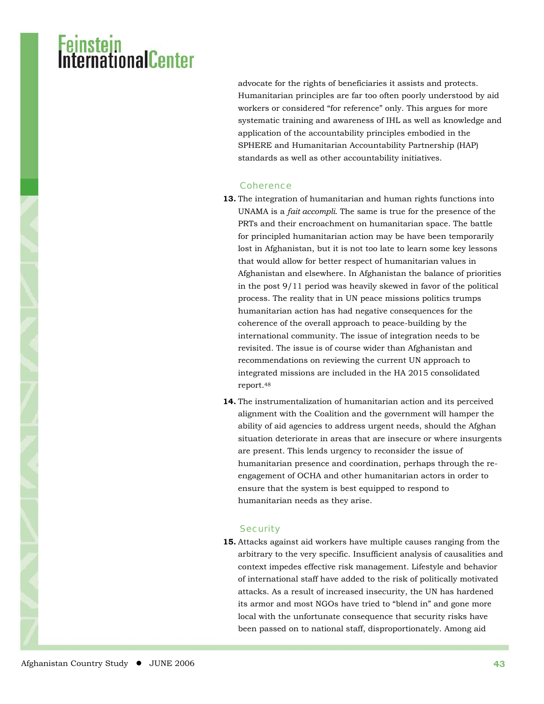advocate for the rights of beneficiaries it assists and protects. Humanitarian principles are far too often poorly understood by aid workers or considered "for reference" only. This argues for more systematic training and awareness of IHL as well as knowledge and application of the accountability principles embodied in the SPHERE and Humanitarian Accountability Partnership (HAP) standards as well as other accountability initiatives.

#### **Coherence**

- **13.** The integration of humanitarian and human rights functions into UNAMA is a *fait accompli*. The same is true for the presence of the PRTs and their encroachment on humanitarian space. The battle for principled humanitarian action may be have been temporarily lost in Afghanistan, but it is not too late to learn some key lessons that would allow for better respect of humanitarian values in Afghanistan and elsewhere. In Afghanistan the balance of priorities in the post 9/11 period was heavily skewed in favor of the political process. The reality that in UN peace missions politics trumps humanitarian action has had negative consequences for the coherence of the overall approach to peace-building by the international community. The issue of integration needs to be revisited. The issue is of course wider than Afghanistan and recommendations on reviewing the current UN approach to integrated missions are included in the HA 2015 consolidated report.48
- **14.** The instrumentalization of humanitarian action and its perceived alignment with the Coalition and the government will hamper the ability of aid agencies to address urgent needs, should the Afghan situation deteriorate in areas that are insecure or where insurgents are present. This lends urgency to reconsider the issue of humanitarian presence and coordination, perhaps through the reengagement of OCHA and other humanitarian actors in order to ensure that the system is best equipped to respond to humanitarian needs as they arise.

#### **Security**

**15.** Attacks against aid workers have multiple causes ranging from the arbitrary to the very specific. Insufficient analysis of causalities and context impedes effective risk management. Lifestyle and behavior of international staff have added to the risk of politically motivated attacks. As a result of increased insecurity, the UN has hardened its armor and most NGOs have tried to "blend in" and gone more local with the unfortunate consequence that security risks have been passed on to national staff, disproportionately. Among aid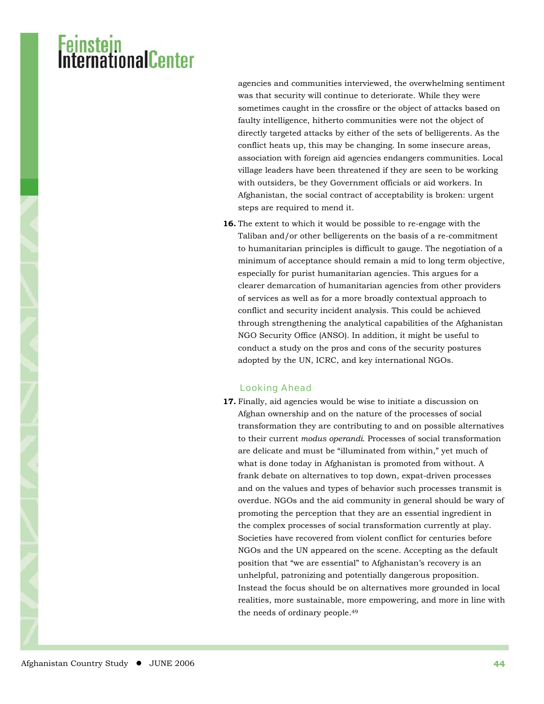## Feinstein<br>International<mark>Ce</mark>nter

agencies and communities interviewed, the overwhelming sentiment was that security will continue to deteriorate. While they were sometimes caught in the crossfire or the object of attacks based on faulty intelligence, hitherto communities were not the object of directly targeted attacks by either of the sets of belligerents. As the conflict heats up, this may be changing. In some insecure areas, association with foreign aid agencies endangers communities. Local village leaders have been threatened if they are seen to be working with outsiders, be they Government officials or aid workers. In Afghanistan, the social contract of acceptability is broken: urgent steps are required to mend it.

**16.** The extent to which it would be possible to re-engage with the Taliban and/or other belligerents on the basis of a re-commitment to humanitarian principles is difficult to gauge. The negotiation of a minimum of acceptance should remain a mid to long term objective, especially for purist humanitarian agencies. This argues for a clearer demarcation of humanitarian agencies from other providers of services as well as for a more broadly contextual approach to conflict and security incident analysis. This could be achieved through strengthening the analytical capabilities of the Afghanistan NGO Security Office (ANSO). In addition, it might be useful to conduct a study on the pros and cons of the security postures adopted by the UN, ICRC, and key international NGOs.

#### Looking Ahead

**17.** Finally, aid agencies would be wise to initiate a discussion on Afghan ownership and on the nature of the processes of social transformation they are contributing to and on possible alternatives to their current *modus operandi*. Processes of social transformation are delicate and must be "illuminated from within," yet much of what is done today in Afghanistan is promoted from without. A frank debate on alternatives to top down, expat-driven processes and on the values and types of behavior such processes transmit is overdue. NGOs and the aid community in general should be wary of promoting the perception that they are an essential ingredient in the complex processes of social transformation currently at play. Societies have recovered from violent conflict for centuries before NGOs and the UN appeared on the scene. Accepting as the default position that "we are essential" to Afghanistan's recovery is an unhelpful, patronizing and potentially dangerous proposition. Instead the focus should be on alternatives more grounded in local realities, more sustainable, more empowering, and more in line with the needs of ordinary people.49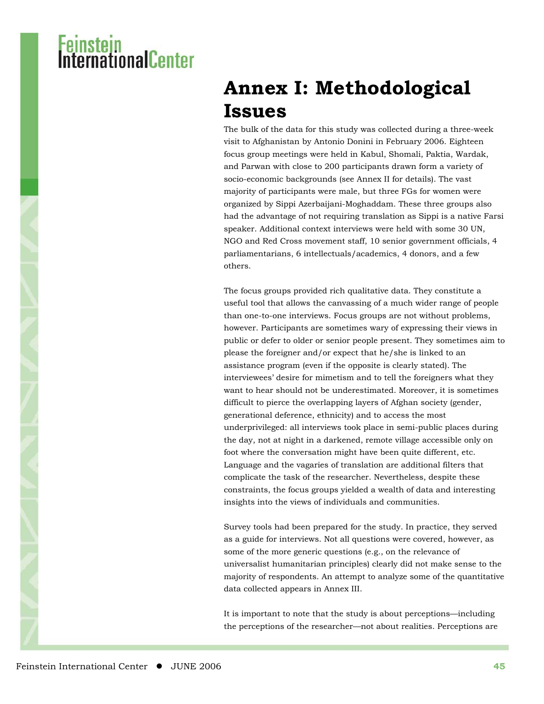#### **Annex I: Methodological Issues**

The bulk of the data for this study was collected during a three-week visit to Afghanistan by Antonio Donini in February 2006. Eighteen focus group meetings were held in Kabul, Shomali, Paktia, Wardak, and Parwan with close to 200 participants drawn form a variety of socio-economic backgrounds (see Annex II for details). The vast majority of participants were male, but three FGs for women were organized by Sippi Azerbaijani-Moghaddam. These three groups also had the advantage of not requiring translation as Sippi is a native Farsi speaker. Additional context interviews were held with some 30 UN, NGO and Red Cross movement staff, 10 senior government officials, 4 parliamentarians, 6 intellectuals/academics, 4 donors, and a few others.

The focus groups provided rich qualitative data. They constitute a useful tool that allows the canvassing of a much wider range of people than one-to-one interviews. Focus groups are not without problems, however. Participants are sometimes wary of expressing their views in public or defer to older or senior people present. They sometimes aim to please the foreigner and/or expect that he/she is linked to an assistance program (even if the opposite is clearly stated). The interviewees' desire for mimetism and to tell the foreigners what they want to hear should not be underestimated. Moreover, it is sometimes difficult to pierce the overlapping layers of Afghan society (gender, generational deference, ethnicity) and to access the most underprivileged: all interviews took place in semi-public places during the day, not at night in a darkened, remote village accessible only on foot where the conversation might have been quite different, etc. Language and the vagaries of translation are additional filters that complicate the task of the researcher. Nevertheless, despite these constraints, the focus groups yielded a wealth of data and interesting insights into the views of individuals and communities.

Survey tools had been prepared for the study. In practice, they served as a guide for interviews. Not all questions were covered, however, as some of the more generic questions (e.g., on the relevance of universalist humanitarian principles) clearly did not make sense to the majority of respondents. An attempt to analyze some of the quantitative data collected appears in Annex III.

It is important to note that the study is about perceptions—including the perceptions of the researcher—not about realities. Perceptions are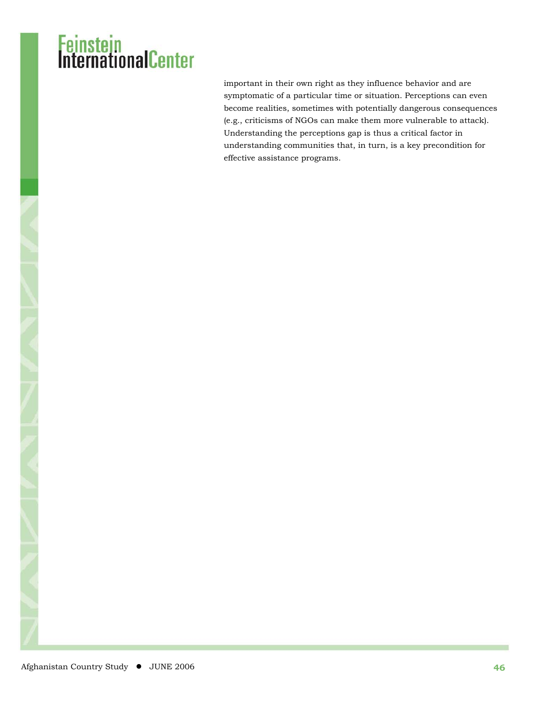important in their own right as they influence behavior and are symptomatic of a particular time or situation. Perceptions can even become realities, sometimes with potentially dangerous consequences (e.g., criticisms of NGOs can make them more vulnerable to attack). Understanding the perceptions gap is thus a critical factor in understanding communities that, in turn, is a key precondition for effective assistance programs.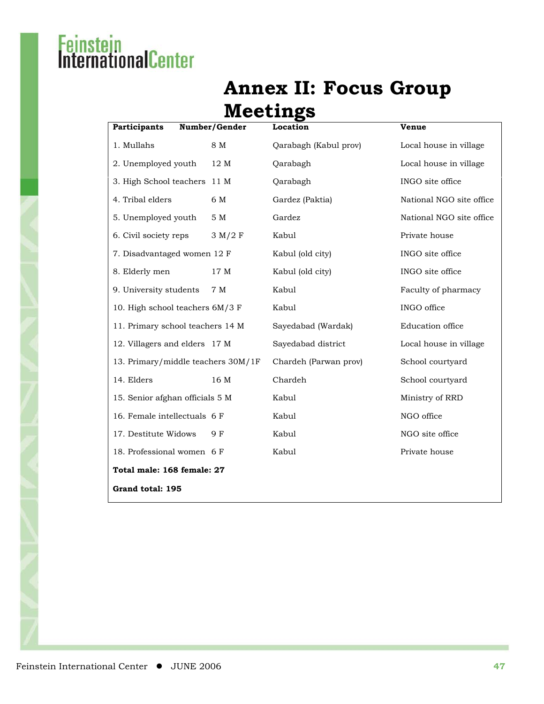#### **Annex II: Focus Group Meetings**

| <b>Participants</b>                | Number/Gender | Location              | <b>Venue</b>             |
|------------------------------------|---------------|-----------------------|--------------------------|
| 1. Mullahs                         | 8 M           | Qarabagh (Kabul prov) | Local house in village   |
| 2. Unemployed youth                | 12 M          | Qarabagh              | Local house in village   |
| 3. High School teachers 11 M       |               | Qarabagh              | INGO site office         |
| 4. Tribal elders                   | 6 M           | Gardez (Paktia)       | National NGO site office |
| 5. Unemployed youth                | $5\,$ M       | Gardez                | National NGO site office |
| 6. Civil society reps              | 3 M/2 F       | Kabul                 | Private house            |
| 7. Disadvantaged women 12 F        |               | Kabul (old city)      | INGO site office         |
| 8. Elderly men                     | 17 M          | Kabul (old city)      | INGO site office         |
| 9. University students             | 7 M           | Kabul                 | Faculty of pharmacy      |
| 10. High school teachers 6M/3 F    |               | Kabul                 | INGO office              |
| 11. Primary school teachers 14 M   |               | Sayedabad (Wardak)    | Education office         |
| 12. Villagers and elders 17 M      |               | Sayedabad district    | Local house in village   |
| 13. Primary/middle teachers 30M/1F |               | Chardeh (Parwan prov) | School courtyard         |
| 14. Elders                         | 16 M          | Chardeh               | School courtyard         |
| 15. Senior afghan officials 5 M    |               | Kabul                 | Ministry of RRD          |
| 16. Female intellectuals 6 F       |               | Kabul                 | NGO office               |
| 17. Destitute Widows               | 9 F           | Kabul                 | NGO site office          |
| 18. Professional women 6 F         |               | Kabul                 | Private house            |
| Total male: 168 female: 27         |               |                       |                          |
| Grand total: 195                   |               |                       |                          |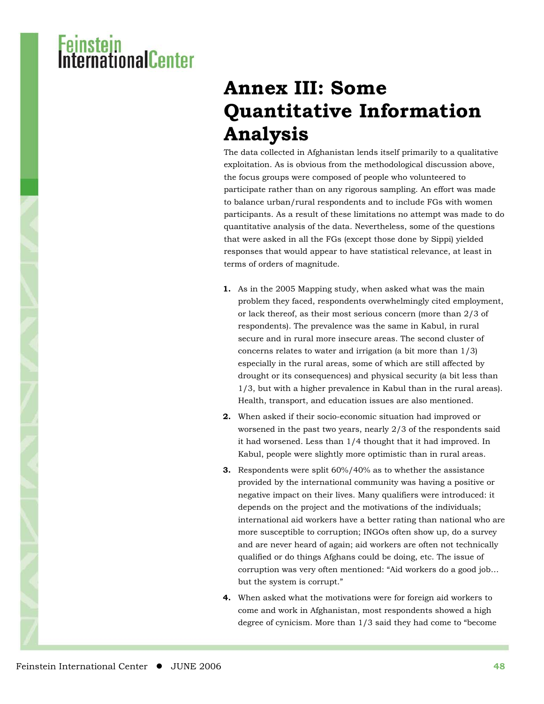#### **Annex III: Some Quantitative Information Analysis**

The data collected in Afghanistan lends itself primarily to a qualitative exploitation. As is obvious from the methodological discussion above, the focus groups were composed of people who volunteered to participate rather than on any rigorous sampling. An effort was made to balance urban/rural respondents and to include FGs with women participants. As a result of these limitations no attempt was made to do quantitative analysis of the data. Nevertheless, some of the questions that were asked in all the FGs (except those done by Sippi) yielded responses that would appear to have statistical relevance, at least in terms of orders of magnitude.

- **1.** As in the 2005 Mapping study, when asked what was the main problem they faced, respondents overwhelmingly cited employment, or lack thereof, as their most serious concern (more than 2/3 of respondents). The prevalence was the same in Kabul, in rural secure and in rural more insecure areas. The second cluster of concerns relates to water and irrigation (a bit more than 1/3) especially in the rural areas, some of which are still affected by drought or its consequences) and physical security (a bit less than 1/3, but with a higher prevalence in Kabul than in the rural areas). Health, transport, and education issues are also mentioned.
- **2.** When asked if their socio-economic situation had improved or worsened in the past two years, nearly 2/3 of the respondents said it had worsened. Less than 1/4 thought that it had improved. In Kabul, people were slightly more optimistic than in rural areas.
- **3.** Respondents were split 60%/40% as to whether the assistance provided by the international community was having a positive or negative impact on their lives. Many qualifiers were introduced: it depends on the project and the motivations of the individuals; international aid workers have a better rating than national who are more susceptible to corruption; INGOs often show up, do a survey and are never heard of again; aid workers are often not technically qualified or do things Afghans could be doing, etc. The issue of corruption was very often mentioned: "Aid workers do a good job… but the system is corrupt."
- **4.** When asked what the motivations were for foreign aid workers to come and work in Afghanistan, most respondents showed a high degree of cynicism. More than 1/3 said they had come to "become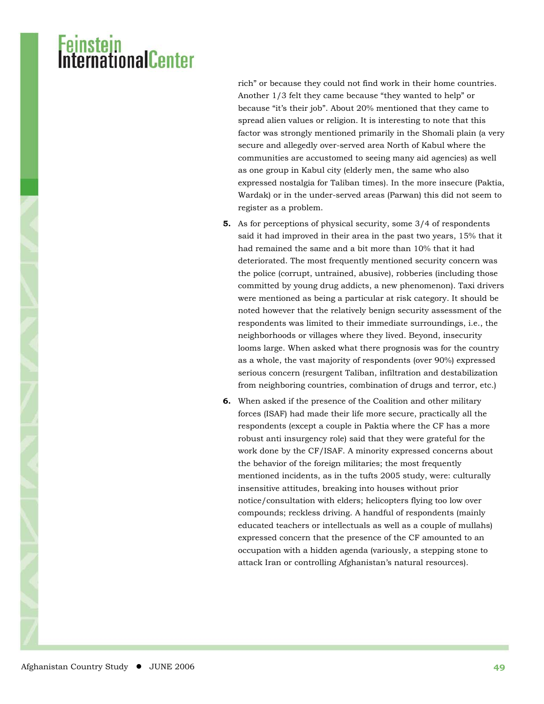## <mark>Feinstein</mark><br>InternationalCenter

rich" or because they could not find work in their home countries. Another 1/3 felt they came because "they wanted to help" or because "it's their job". About 20% mentioned that they came to spread alien values or religion. It is interesting to note that this factor was strongly mentioned primarily in the Shomali plain (a very secure and allegedly over-served area North of Kabul where the communities are accustomed to seeing many aid agencies) as well as one group in Kabul city (elderly men, the same who also expressed nostalgia for Taliban times). In the more insecure (Paktia, Wardak) or in the under-served areas (Parwan) this did not seem to register as a problem.

- **5.** As for perceptions of physical security, some 3/4 of respondents said it had improved in their area in the past two years, 15% that it had remained the same and a bit more than 10% that it had deteriorated. The most frequently mentioned security concern was the police (corrupt, untrained, abusive), robberies (including those committed by young drug addicts, a new phenomenon). Taxi drivers were mentioned as being a particular at risk category. It should be noted however that the relatively benign security assessment of the respondents was limited to their immediate surroundings, i.e., the neighborhoods or villages where they lived. Beyond, insecurity looms large. When asked what there prognosis was for the country as a whole, the vast majority of respondents (over 90%) expressed serious concern (resurgent Taliban, infiltration and destabilization from neighboring countries, combination of drugs and terror, etc.)
- **6.** When asked if the presence of the Coalition and other military forces (ISAF) had made their life more secure, practically all the respondents (except a couple in Paktia where the CF has a more robust anti insurgency role) said that they were grateful for the work done by the CF/ISAF. A minority expressed concerns about the behavior of the foreign militaries; the most frequently mentioned incidents, as in the tufts 2005 study, were: culturally insensitive attitudes, breaking into houses without prior notice/consultation with elders; helicopters flying too low over compounds; reckless driving. A handful of respondents (mainly educated teachers or intellectuals as well as a couple of mullahs) expressed concern that the presence of the CF amounted to an occupation with a hidden agenda (variously, a stepping stone to attack Iran or controlling Afghanistan's natural resources).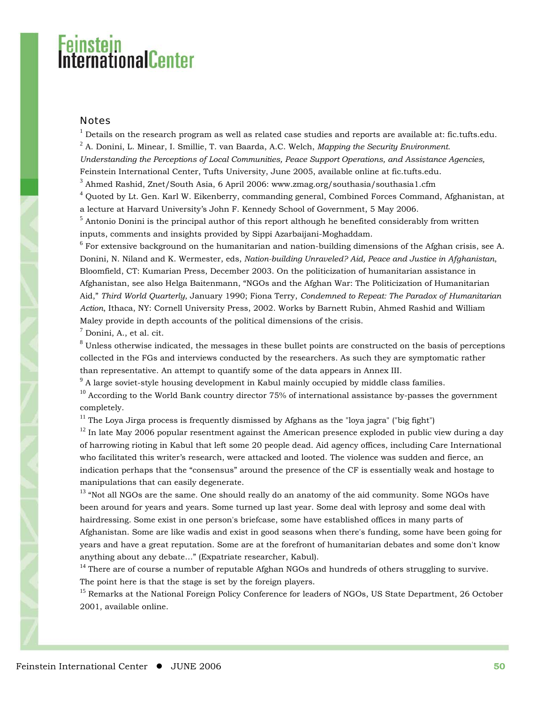#### Lewstern<br>InternationalCenter

#### **Notes**

 $^1$  Details on the research program as well as related case studies and reports are available at: fic.tufts.edu. 2 A. Donini, L. Minear, I. Smillie, T. van Baarda, A.C. Welch, *Mapping the Security Environment. Understanding the Perceptions of Local Communities, Peace Support Operations, and Assistance Agencies,* Feinstein International Center, Tufts University, June 2005, available online at fic.tufts.edu.

 $^3$  Ahmed Rashid, Znet/South Asia, 6 April 2006: www.zmag.org/southasia/southasia1.cfm

 $^4$  Quoted by Lt. Gen. Karl W. Eikenberry, commanding general, Combined Forces Command, Afghanistan, at a lecture at Harvard University's John F. Kennedy School of Government, 5 May 2006.

 $<sup>5</sup>$  Antonio Donini is the principal author of this report although he benefited considerably from written</sup> inputs, comments and insights provided by Sippi Azarbaijani-Moghaddam.

 $6$  For extensive background on the humanitarian and nation-building dimensions of the Afghan crisis, see A. Donini, N. Niland and K. Wermester, eds, *Nation-building Unraveled? Aid, Peace and Justice in Afghanistan*, Bloomfield, CT: Kumarian Press, December 2003. On the politicization of humanitarian assistance in Afghanistan, see also Helga Baitenmann, "NGOs and the Afghan War: The Politicization of Humanitarian Aid," *Third World Quarterly*, January 1990; Fiona Terry, *Condemned to Repeat: The Paradox of Humanitarian Action*, Ithaca, NY: Cornell University Press, 2002. Works by Barnett Rubin, Ahmed Rashid and William Maley provide in depth accounts of the political dimensions of the crisis.  $^7$  Donini, A., et al. cit.

 $^8$  Unless otherwise indicated, the messages in these bullet points are constructed on the basis of perceptions collected in the FGs and interviews conducted by the researchers. As such they are symptomatic rather than representative. An attempt to quantify some of the data appears in Annex III.

 $9^9$  A large soviet-style housing development in Kabul mainly occupied by middle class families.

 $10$  According to the World Bank country director 75% of international assistance by-passes the government completely.

 $11$  The Loya Jirga process is frequently dismissed by Afghans as the "loya jagra" ("big fight")

 $12$  In late May 2006 popular resentment against the American presence exploded in public view during a day of harrowing rioting in Kabul that left some 20 people dead. Aid agency offices, including Care International who facilitated this writer's research, were attacked and looted. The violence was sudden and fierce, an indication perhaps that the "consensus" around the presence of the CF is essentially weak and hostage to manipulations that can easily degenerate.

<sup>13</sup> "Not all NGOs are the same. One should really do an anatomy of the aid community. Some NGOs have been around for years and years. Some turned up last year. Some deal with leprosy and some deal with hairdressing. Some exist in one person's briefcase, some have established offices in many parts of Afghanistan. Some are like wadis and exist in good seasons when there's funding, some have been going for years and have a great reputation. Some are at the forefront of humanitarian debates and some don't know anything about any debate…" (Expatriate researcher, Kabul).

 $14$  There are of course a number of reputable Afghan NGOs and hundreds of others struggling to survive. The point here is that the stage is set by the foreign players.

<sup>15</sup> Remarks at the National Foreign Policy Conference for leaders of NGOs, US State Department, 26 October 2001, available online.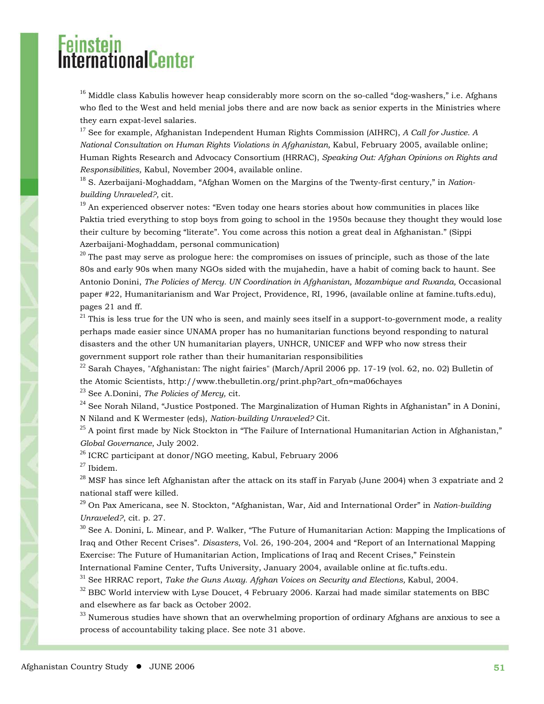#### InternationalCenter

 $16$  Middle class Kabulis however heap considerably more scorn on the so-called "dog-washers," i.e. Afghans who fled to the West and held menial jobs there and are now back as senior experts in the Ministries where they earn expat-level salaries.

<sup>17</sup> See for example, Afghanistan Independent Human Rights Commission (AIHRC), *A Call for Justice. A National Consultation on Human Rights Violations in Afghanistan,* Kabul, February 2005, available online; Human Rights Research and Advocacy Consortium (HRRAC), *Speaking Out: Afghan Opinions on Rights and Responsibilities,* Kabul, November 2004, available online.

<sup>18</sup> S. Azerbaijani-Moghaddam, "Afghan Women on the Margins of the Twenty-first century," in *Nationbuilding Unraveled?,* cit.

 $19$  An experienced observer notes: "Even today one hears stories about how communities in places like Paktia tried everything to stop boys from going to school in the 1950s because they thought they would lose their culture by becoming "literate". You come across this notion a great deal in Afghanistan." (Sippi Azerbaijani-Moghaddam, personal communication)

 $20$  The past may serve as prologue here: the compromises on issues of principle, such as those of the late 80s and early 90s when many NGOs sided with the mujahedin, have a habit of coming back to haunt. See Antonio Donini, *The Policies of Mercy. UN Coordination in Afghanistan, Mozambique and Rwanda,* Occasional paper #22, Humanitarianism and War Project, Providence, RI, 1996, (available online at famine.tufts.edu), pages 21 and ff.

 $21$  This is less true for the UN who is seen, and mainly sees itself in a support-to-government mode, a reality perhaps made easier since UNAMA proper has no humanitarian functions beyond responding to natural disasters and the other UN humanitarian players, UNHCR, UNICEF and WFP who now stress their government support role rather than their humanitarian responsibilities

<sup>22</sup> Sarah Chayes, "Afghanistan: The night fairies" (March/April 2006 pp. 17-19 (vol. 62, no. 02) Bulletin of the Atomic Scientists, http://www.thebulletin.org/print.php?art\_ofn=ma06chayes

<sup>23</sup> See A.Donini, *The Policies of Mercy,* cit.

 $^{24}$  See Norah Niland, "Justice Postponed. The Marginalization of Human Rights in Afghanistan" in A Donini, N Niland and K Wermester (eds), *Nation-building Unraveled?* Cit.

 $^{25}$  A point first made by Nick Stockton in "The Failure of International Humanitarian Action in Afghanistan," *Global Governance*, July 2002.

 $^{26}$  ICRC participant at donor/NGO meeting, Kabul, February 2006

<sup>27</sup> Ibidem.

 $^{28}$  MSF has since left Afghanistan after the attack on its staff in Faryab (June 2004) when 3 expatriate and 2 national staff were killed.

<sup>29</sup> On Pax Americana, see N. Stockton, "Afghanistan, War, Aid and International Order" in *Nation-building Unraveled?*, cit. p. 27.

 $30$  See A. Donini, L. Minear, and P. Walker, "The Future of Humanitarian Action: Mapping the Implications of Iraq and Other Recent Crises". *Disasters*, Vol. 26, 190-204, 2004 and "Report of an International Mapping Exercise: The Future of Humanitarian Action, Implications of Iraq and Recent Crises," Feinstein International Famine Center, Tufts University, January 2004, available online at fic.tufts.edu.

<sup>31</sup> See HRRAC report, *Take the Guns Away. Afghan Voices on Security and Elections*, Kabul, 2004.

 $32$  BBC World interview with Lyse Doucet, 4 February 2006. Karzai had made similar statements on BBC and elsewhere as far back as October 2002.

 $33$  Numerous studies have shown that an overwhelming proportion of ordinary Afghans are anxious to see a process of accountability taking place. See note 31 above.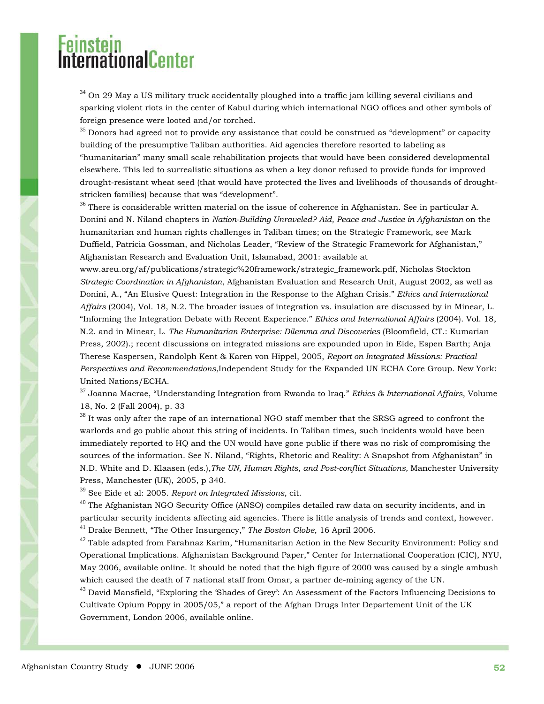#### InternationalCenter

 $34$  On 29 May a US military truck accidentally ploughed into a traffic jam killing several civilians and sparking violent riots in the center of Kabul during which international NGO offices and other symbols of foreign presence were looted and/or torched.

 $35$  Donors had agreed not to provide any assistance that could be construed as "development" or capacity building of the presumptive Taliban authorities. Aid agencies therefore resorted to labeling as "humanitarian" many small scale rehabilitation projects that would have been considered developmental elsewhere. This led to surrealistic situations as when a key donor refused to provide funds for improved drought-resistant wheat seed (that would have protected the lives and livelihoods of thousands of droughtstricken families) because that was "development".

 $36$  There is considerable written material on the issue of coherence in Afghanistan. See in particular A. Donini and N. Niland chapters in *Nation-Building Unraveled? Aid, Peace and Justice in Afghanistan* on the humanitarian and human rights challenges in Taliban times; on the Strategic Framework, see Mark Duffield, Patricia Gossman, and Nicholas Leader, "Review of the Strategic Framework for Afghanistan," Afghanistan Research and Evaluation Unit, Islamabad, 2001: available at

www.areu.org/af/publications/strategic%20framework/strategic\_framework.pdf, Nicholas Stockton *Strategic Coordination in Afghanistan*, Afghanistan Evaluation and Research Unit, August 2002, as well as Donini, A., "An Elusive Quest: Integration in the Response to the Afghan Crisis." *Ethics and International Affairs* (2004), Vol. 18, N.2. The broader issues of integration vs. insulation are discussed by in Minear, L. "Informing the Integration Debate with Recent Experience." *Ethics and International Affairs* (2004). Vol. 18, N.2. and in Minear, L. *The Humanitarian Enterprise: Dilemma and Discoveries* (Bloomfield, CT.: Kumarian Press, 2002).; recent discussions on integrated missions are expounded upon in Eide, Espen Barth; Anja Therese Kaspersen, Randolph Kent & Karen von Hippel, 2005, *Report on Integrated Missions: Practical Perspectives and Recommendations*,Independent Study for the Expanded UN ECHA Core Group. New York: United Nations/ECHA.

<sup>37</sup> Joanna Macrae, "Understanding Integration from Rwanda to Iraq." *Ethics & International Affairs*, Volume 18, No. 2 (Fall 2004), p. 33

 $38$  It was only after the rape of an international NGO staff member that the SRSG agreed to confront the warlords and go public about this string of incidents. In Taliban times, such incidents would have been immediately reported to HQ and the UN would have gone public if there was no risk of compromising the sources of the information. See N. Niland, "Rights, Rhetoric and Reality: A Snapshot from Afghanistan" in N.D. White and D. Klaasen (eds.),*The UN, Human Rights, and Post-conflict Situations,* Manchester University Press, Manchester (UK), 2005, p 340.

<sup>39</sup> See Eide et al: 2005. *Report on Integrated Missions*, cit.

 $^{40}$  The Afghanistan NGO Security Office (ANSO) compiles detailed raw data on security incidents, and in particular security incidents affecting aid agencies. There is little analysis of trends and context, however. <sup>41</sup> Drake Bennett, "The Other Insurgency," *The Boston Globe*, 16 April 2006.

 $42$  Table adapted from Farahnaz Karim, "Humanitarian Action in the New Security Environment: Policy and Operational Implications. Afghanistan Background Paper," Center for International Cooperation (CIC), NYU, May 2006, available online. It should be noted that the high figure of 2000 was caused by a single ambush which caused the death of 7 national staff from Omar, a partner de-mining agency of the UN.

 $^{43}$  David Mansfield, "Exploring the 'Shades of Grey': An Assessment of the Factors Influencing Decisions to Cultivate Opium Poppy in 2005/05," a report of the Afghan Drugs Inter Departement Unit of the UK Government, London 2006, available online.